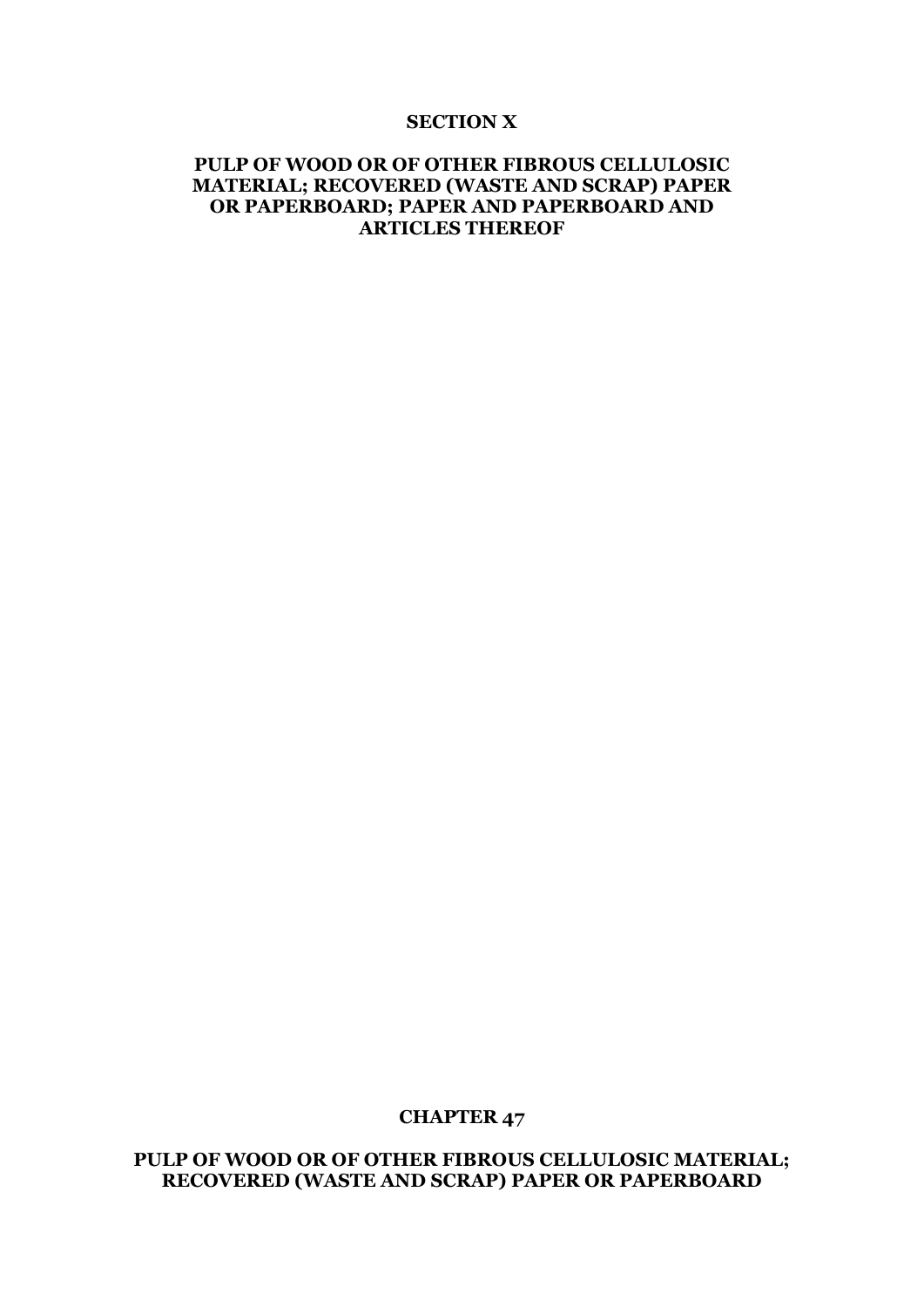#### **SECTION X**

### **PULP OF WOOD OR OF OTHER FIBROUS CELLULOSIC MATERIAL; RECOVERED (WASTE AND SCRAP) PAPER OR PAPERBOARD; PAPER AND PAPERBOARD AND ARTICLES THEREOF**

#### **CHAPTER 47**

**PULP OF WOOD OR OF OTHER FIBROUS CELLULOSIC MATERIAL; RECOVERED (WASTE AND SCRAP) PAPER OR PAPERBOARD**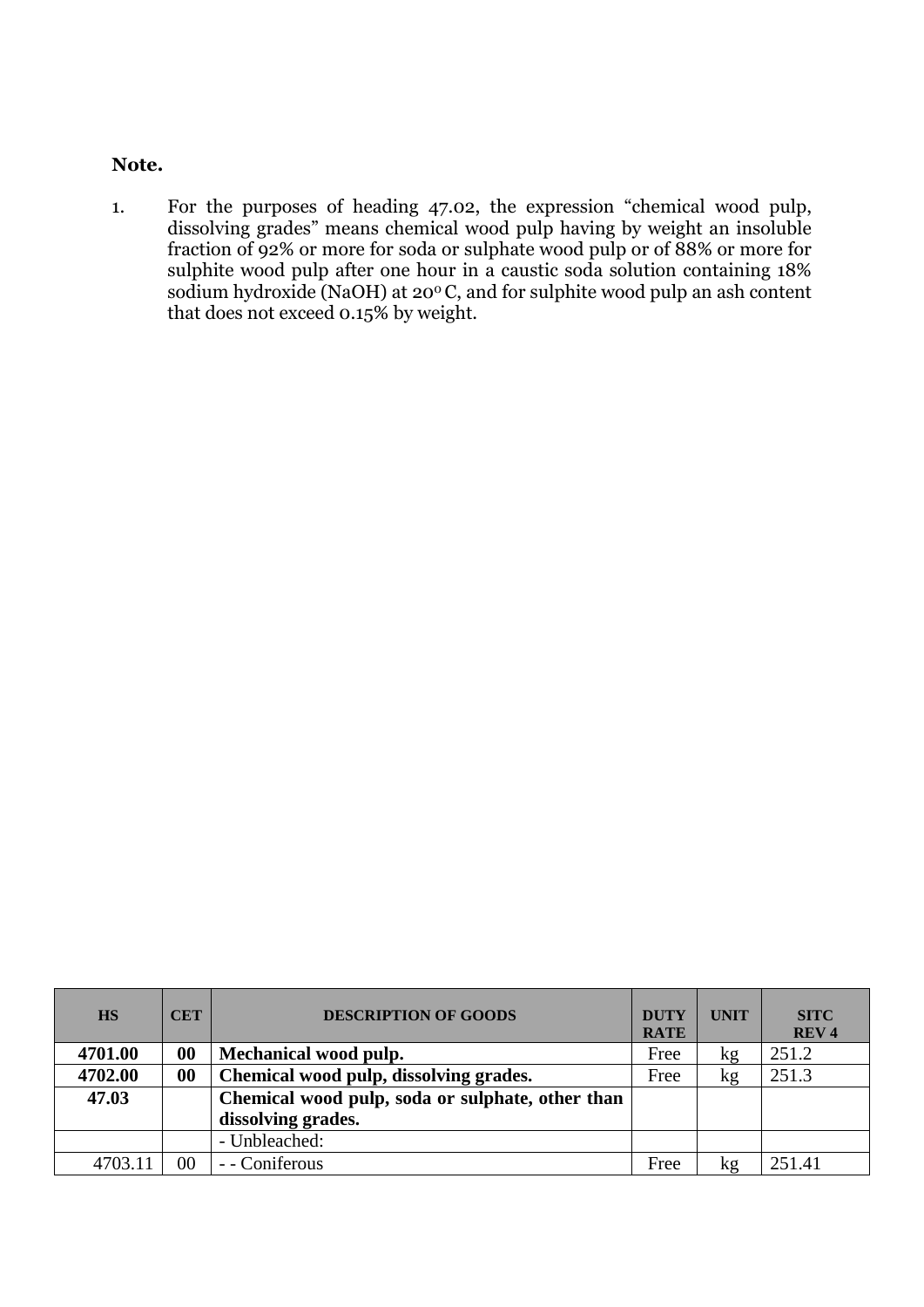# **Note.**

1. For the purposes of heading 47.02, the expression "chemical wood pulp, dissolving grades" means chemical wood pulp having by weight an insoluble fraction of 92% or more for soda or sulphate wood pulp or of 88% or more for sulphite wood pulp after one hour in a caustic soda solution containing 18% sodium hydroxide (NaOH) at 20<sup>°</sup>C, and for sulphite wood pulp an ash content that does not exceed 0.15% by weight.

| <b>HS</b> | <b>CET</b>        | <b>DESCRIPTION OF GOODS</b>                      | <b>DUTY</b><br><b>RATE</b> | <b>UNIT</b> | <b>SITC</b><br>REV <sub>4</sub> |
|-----------|-------------------|--------------------------------------------------|----------------------------|-------------|---------------------------------|
| 4701.00   | $\boldsymbol{00}$ | Mechanical wood pulp.                            | Free                       | kg          | 251.2                           |
| 4702.00   | 00                | Chemical wood pulp, dissolving grades.           | Free                       | kg          | 251.3                           |
| 47.03     |                   | Chemical wood pulp, soda or sulphate, other than |                            |             |                                 |
|           |                   | dissolving grades.                               |                            |             |                                 |
|           |                   | - Unbleached:                                    |                            |             |                                 |
| 4703.11   | 00                | - Coniferous                                     | Free                       | kg          | 251.41                          |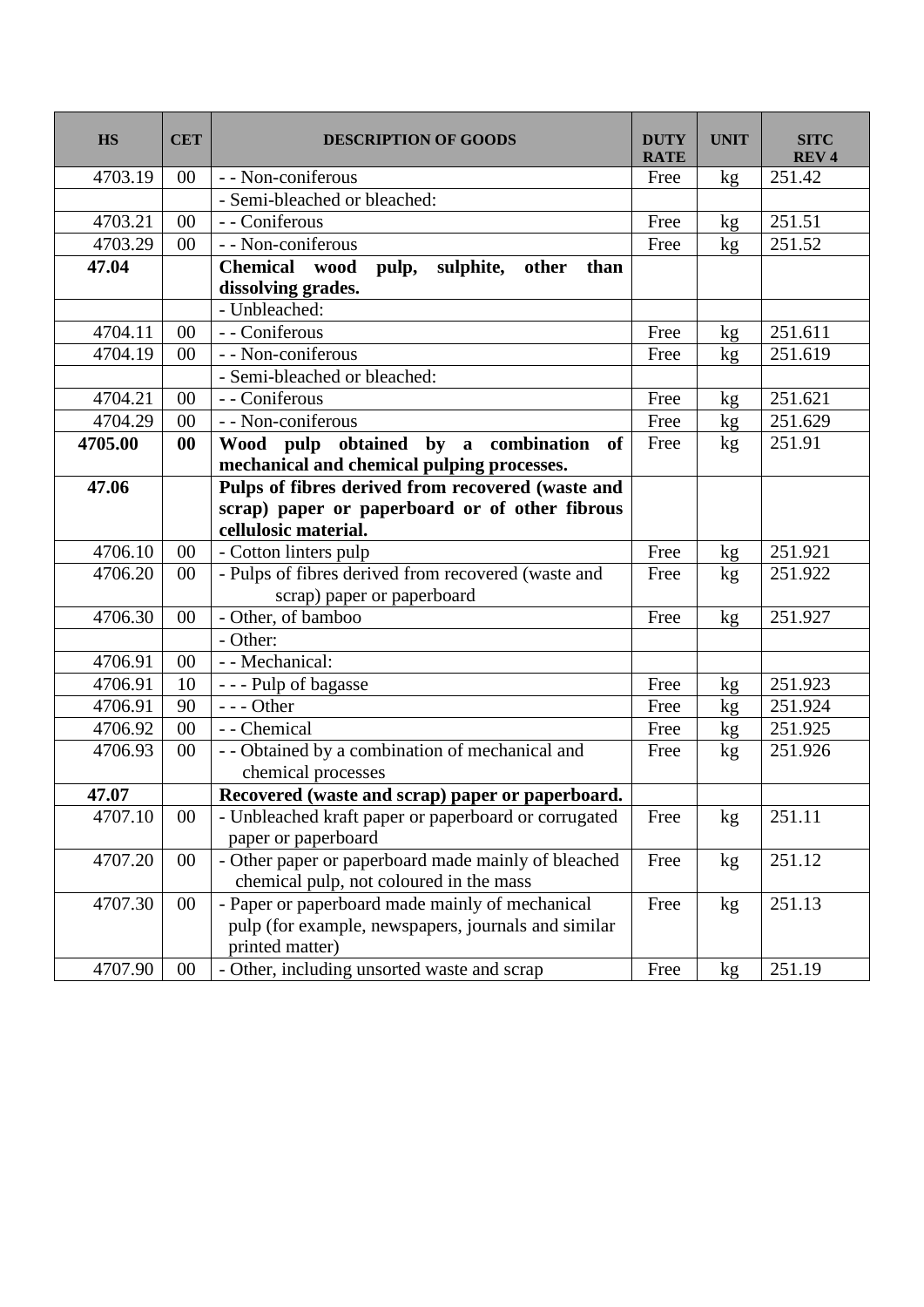| <b>HS</b> | <b>CET</b> | <b>DESCRIPTION OF GOODS</b>                                                          | <b>DUTY</b><br><b>RATE</b> | <b>UNIT</b> | <b>SITC</b><br><b>REV4</b> |
|-----------|------------|--------------------------------------------------------------------------------------|----------------------------|-------------|----------------------------|
| 4703.19   | $00\,$     | - - Non-coniferous                                                                   | Free                       | kg          | 251.42                     |
|           |            | - Semi-bleached or bleached:                                                         |                            |             |                            |
| 4703.21   | 00         | - - Coniferous                                                                       | Free                       | kg          | 251.51                     |
| 4703.29   | 00         | - - Non-coniferous                                                                   | Free                       | kg          | 251.52                     |
| 47.04     |            | Chemical wood<br>sulphite, other<br>pulp,<br>than<br>dissolving grades.              |                            |             |                            |
|           |            | - Unbleached:                                                                        |                            |             |                            |
| 4704.11   | 00         | - - Coniferous                                                                       | Free                       | kg          | 251.611                    |
| 4704.19   | 00         | - - Non-coniferous                                                                   | Free                       | kg          | 251.619                    |
|           |            | - Semi-bleached or bleached:                                                         |                            |             |                            |
| 4704.21   | 00         | - - Coniferous                                                                       | Free                       | kg          | 251.621                    |
| 4704.29   | 00         | - - Non-coniferous                                                                   | Free                       | kg          | 251.629                    |
| 4705.00   | 00         | Wood pulp obtained by a combination of<br>mechanical and chemical pulping processes. | Free                       | kg          | 251.91                     |
| 47.06     |            | Pulps of fibres derived from recovered (waste and                                    |                            |             |                            |
|           |            | scrap) paper or paperboard or of other fibrous                                       |                            |             |                            |
|           |            | cellulosic material.                                                                 |                            |             |                            |
| 4706.10   | $00\,$     | - Cotton linters pulp                                                                | Free                       | kg          | 251.921                    |
| 4706.20   | 00         | - Pulps of fibres derived from recovered (waste and                                  | Free                       | kg          | 251.922                    |
|           |            | scrap) paper or paperboard                                                           |                            |             |                            |
| 4706.30   | 00         | - Other, of bamboo                                                                   | Free                       | kg          | 251.927                    |
|           |            | - Other:                                                                             |                            |             |                            |
| 4706.91   | 00         | - - Mechanical:                                                                      |                            |             |                            |
| 4706.91   | 10         | - - - Pulp of bagasse                                                                | Free                       | kg          | 251.923                    |
| 4706.91   | 90         | $--- Other$                                                                          | Free                       | kg          | 251.924                    |
| 4706.92   | 00         | - - Chemical                                                                         | Free                       | kg          | 251.925                    |
| 4706.93   | 00         | - - Obtained by a combination of mechanical and<br>chemical processes                | Free                       | kg          | 251.926                    |
| 47.07     |            | Recovered (waste and scrap) paper or paperboard.                                     |                            |             |                            |
| 4707.10   | 00         | - Unbleached kraft paper or paperboard or corrugated<br>paper or paperboard          | Free                       | kg          | 251.11                     |
| 4707.20   | 00         | - Other paper or paperboard made mainly of bleached                                  | Free                       | kg          | 251.12                     |
|           |            | chemical pulp, not coloured in the mass                                              |                            |             |                            |
| 4707.30   | $00\,$     | - Paper or paperboard made mainly of mechanical                                      | Free                       | kg          | 251.13                     |
|           |            | pulp (for example, newspapers, journals and similar                                  |                            |             |                            |
|           |            | printed matter)                                                                      |                            |             |                            |
| 4707.90   | $00\,$     | - Other, including unsorted waste and scrap                                          | Free                       | kg          | 251.19                     |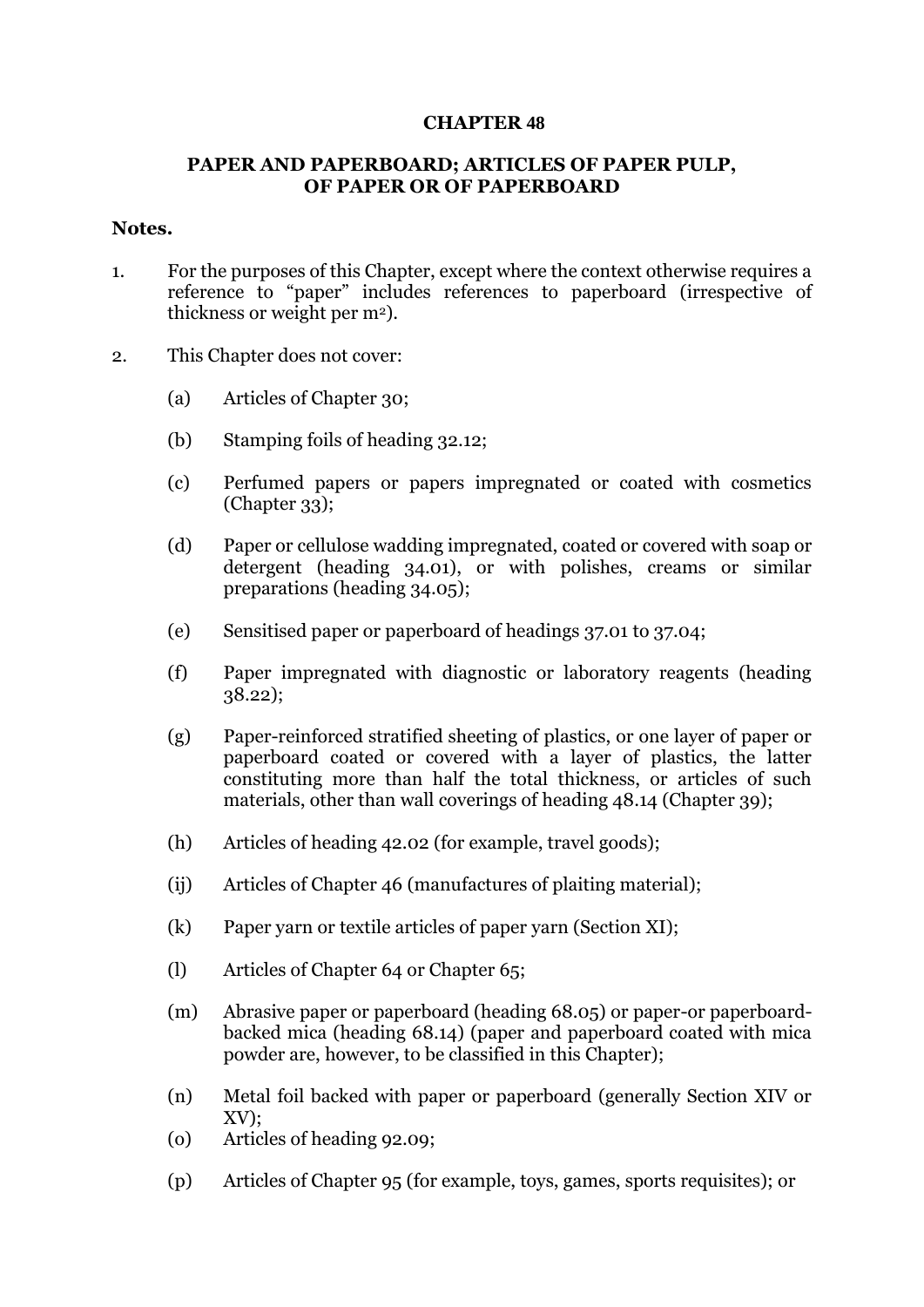### **CHAPTER 48**

## **PAPER AND PAPERBOARD; ARTICLES OF PAPER PULP, OF PAPER OR OF PAPERBOARD**

#### **Notes.**

- 1. For the purposes of this Chapter, except where the context otherwise requires a reference to "paper" includes references to paperboard (irrespective of thickness or weight per m2).
- 2. This Chapter does not cover:
	- (a) Articles of Chapter 30;
	- (b) Stamping foils of heading 32.12;
	- (c) Perfumed papers or papers impregnated or coated with cosmetics (Chapter 33);
	- (d) Paper or cellulose wadding impregnated, coated or covered with soap or detergent (heading 34.01), or with polishes, creams or similar preparations (heading 34.05);
	- (e) Sensitised paper or paperboard of headings 37.01 to 37.04;
	- (f) Paper impregnated with diagnostic or laboratory reagents (heading 38.22);
	- (g) Paper-reinforced stratified sheeting of plastics, or one layer of paper or paperboard coated or covered with a layer of plastics, the latter constituting more than half the total thickness, or articles of such materials, other than wall coverings of heading 48.14 (Chapter 39);
	- (h) Articles of heading 42.02 (for example, travel goods);
	- (ij) Articles of Chapter 46 (manufactures of plaiting material);
	- (k) Paper yarn or textile articles of paper yarn (Section XI);
	- (l) Articles of Chapter 64 or Chapter 65;
	- (m) Abrasive paper or paperboard (heading 68.05) or paper-or paperboardbacked mica (heading 68.14) (paper and paperboard coated with mica powder are, however, to be classified in this Chapter);
	- (n) Metal foil backed with paper or paperboard (generally Section XIV or XV);
	- (o) Articles of heading 92.09;
	- (p) Articles of Chapter 95 (for example, toys, games, sports requisites); or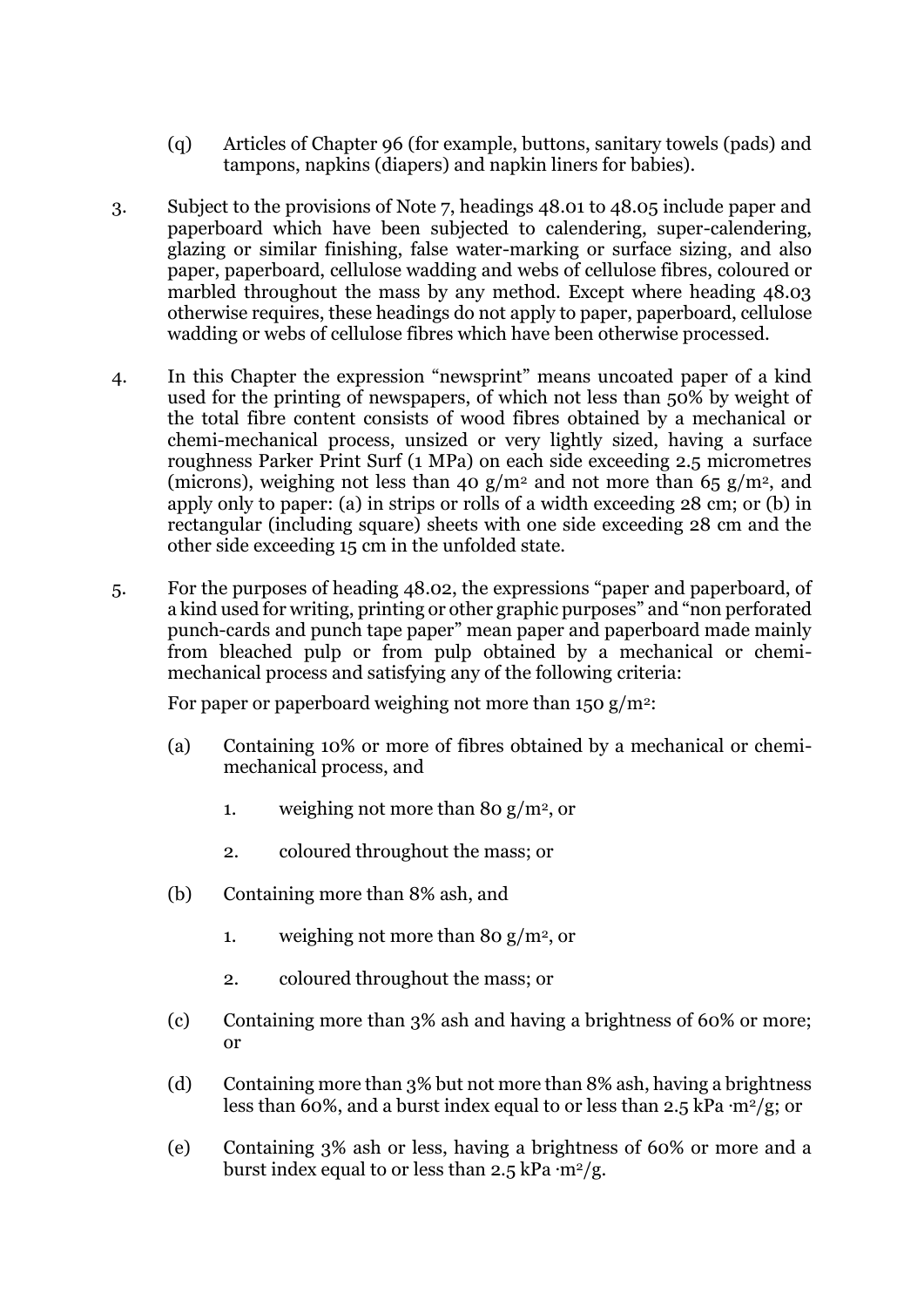- (q) Articles of Chapter 96 (for example, buttons, sanitary towels (pads) and tampons, napkins (diapers) and napkin liners for babies).
- 3. Subject to the provisions of Note 7, headings 48.01 to 48.05 include paper and paperboard which have been subjected to calendering, super-calendering, glazing or similar finishing, false water-marking or surface sizing, and also paper, paperboard, cellulose wadding and webs of cellulose fibres, coloured or marbled throughout the mass by any method. Except where heading 48.03 otherwise requires, these headings do not apply to paper, paperboard, cellulose wadding or webs of cellulose fibres which have been otherwise processed.
- 4. In this Chapter the expression "newsprint" means uncoated paper of a kind used for the printing of newspapers, of which not less than 50% by weight of the total fibre content consists of wood fibres obtained by a mechanical or chemi-mechanical process, unsized or very lightly sized, having a surface roughness Parker Print Surf (1 MPa) on each side exceeding 2.5 micrometres (microns), weighing not less than 40 g/m<sup>2</sup> and not more than 65 g/m<sup>2</sup>, and apply only to paper: (a) in strips or rolls of a width exceeding 28 cm; or (b) in rectangular (including square) sheets with one side exceeding 28 cm and the other side exceeding 15 cm in the unfolded state.
- 5. For the purposes of heading 48.02, the expressions "paper and paperboard, of a kind used for writing, printing or other graphic purposes" and "non perforated punch-cards and punch tape paper" mean paper and paperboard made mainly from bleached pulp or from pulp obtained by a mechanical or chemimechanical process and satisfying any of the following criteria:

For paper or paperboard weighing not more than  $150 \text{ g/m}^2$ :

- (a) Containing 10% or more of fibres obtained by a mechanical or chemimechanical process, and
	- 1. weighing not more than 80 g/m<sup>2</sup>, or
	- 2. coloured throughout the mass; or
- (b) Containing more than 8% ash, and
	- 1. weighing not more than 80 g/m<sup>2</sup>, or
	- 2. coloured throughout the mass; or
- (c) Containing more than 3% ash and having a brightness of 60% or more; or
- (d) Containing more than 3% but not more than 8% ash, having a brightness less than 60%, and a burst index equal to or less than  $2.5$  kPa  $\cdot$ m<sup>2</sup>/g; or
- (e) Containing 3% ash or less, having a brightness of 60% or more and a burst index equal to or less than  $2.5$  kPa  $\cdot$ m<sup>2</sup>/g.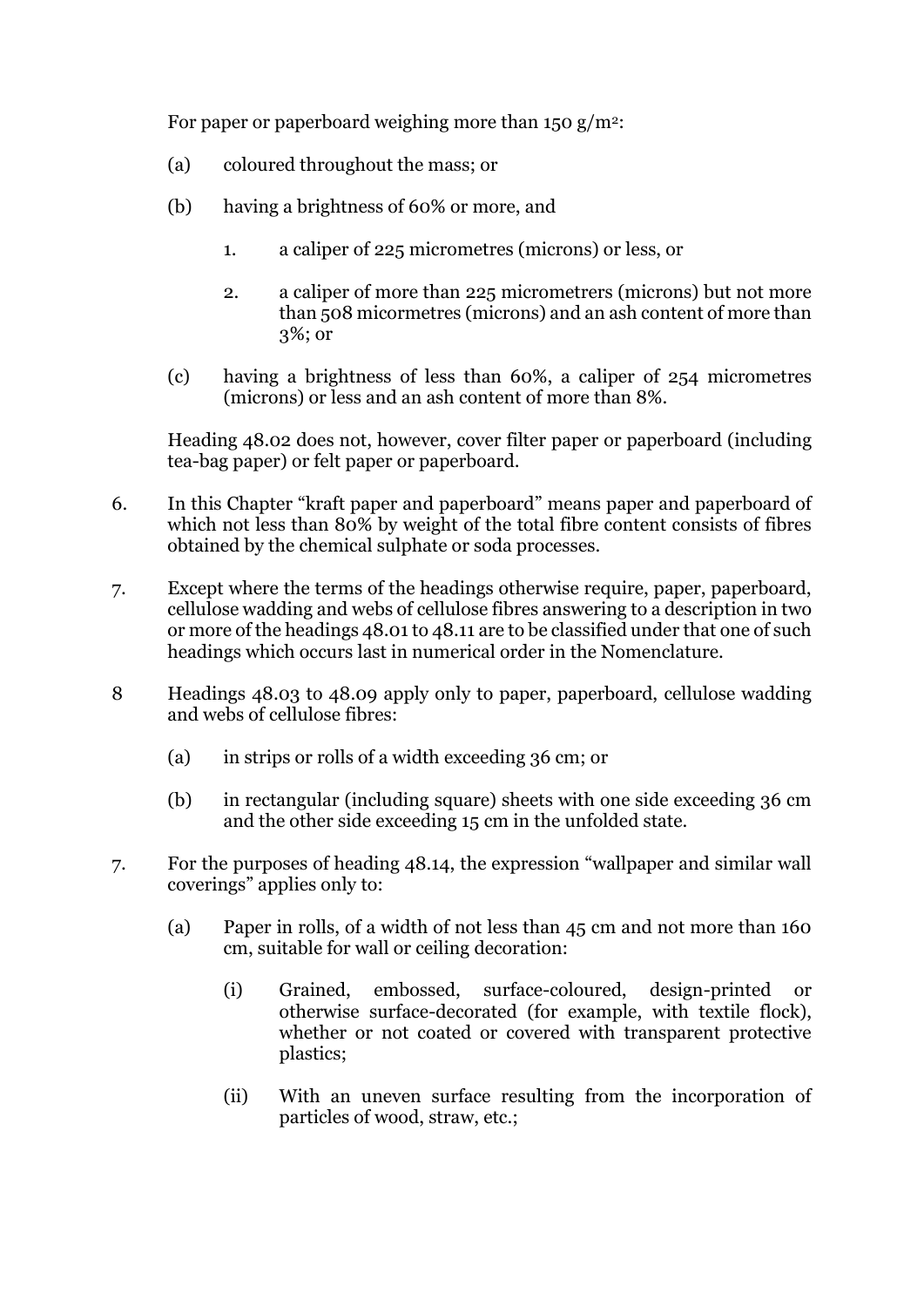For paper or paperboard weighing more than 150 g/m<sup>2</sup>:

- (a) coloured throughout the mass; or
- (b) having a brightness of 60% or more, and
	- 1. a caliper of 225 micrometres (microns) or less, or
	- 2. a caliper of more than 225 micrometrers (microns) but not more than 508 micormetres (microns) and an ash content of more than 3%; or
- (c) having a brightness of less than 60%, a caliper of 254 micrometres (microns) or less and an ash content of more than 8%.

Heading 48.02 does not, however, cover filter paper or paperboard (including tea-bag paper) or felt paper or paperboard.

- 6. In this Chapter "kraft paper and paperboard" means paper and paperboard of which not less than  $80\%$  by weight of the total fibre content consists of fibres obtained by the chemical sulphate or soda processes.
- 7. Except where the terms of the headings otherwise require, paper, paperboard, cellulose wadding and webs of cellulose fibres answering to a description in two or more of the headings 48.01 to 48.11 are to be classified under that one of such headings which occurs last in numerical order in the Nomenclature.
- 8 Headings 48.03 to 48.09 apply only to paper, paperboard, cellulose wadding and webs of cellulose fibres:
	- (a) in strips or rolls of a width exceeding 36 cm; or
	- (b) in rectangular (including square) sheets with one side exceeding 36 cm and the other side exceeding 15 cm in the unfolded state.
- 7. For the purposes of heading 48.14, the expression "wallpaper and similar wall coverings" applies only to:
	- (a) Paper in rolls, of a width of not less than 45 cm and not more than 160 cm, suitable for wall or ceiling decoration:
		- (i) Grained, embossed, surface-coloured, design-printed or otherwise surface-decorated (for example, with textile flock), whether or not coated or covered with transparent protective plastics;
		- (ii) With an uneven surface resulting from the incorporation of particles of wood, straw, etc.;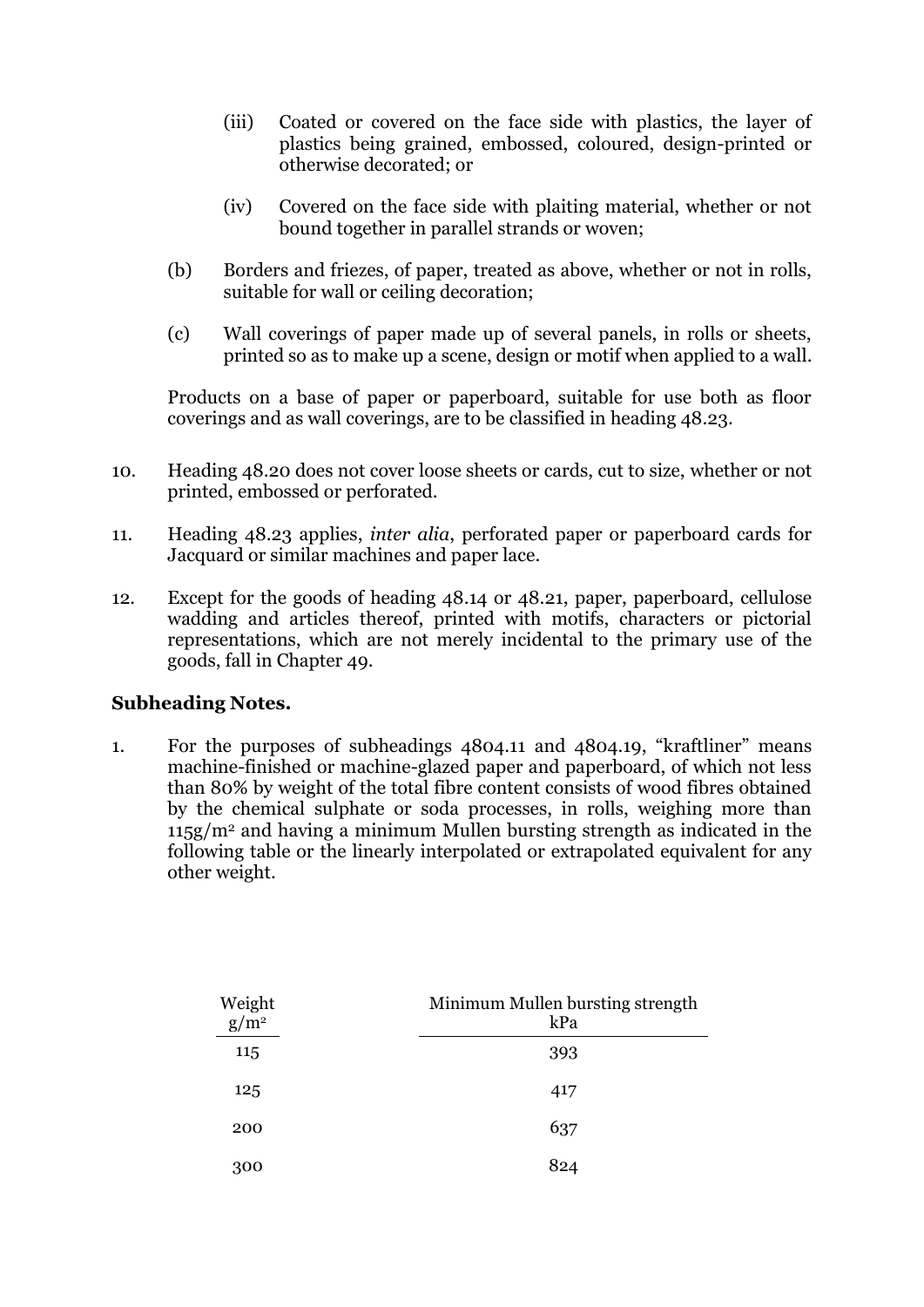- (iii) Coated or covered on the face side with plastics, the layer of plastics being grained, embossed, coloured, design-printed or otherwise decorated; or
- (iv) Covered on the face side with plaiting material, whether or not bound together in parallel strands or woven;
- (b) Borders and friezes, of paper, treated as above, whether or not in rolls, suitable for wall or ceiling decoration;
- (c) Wall coverings of paper made up of several panels, in rolls or sheets, printed so as to make up a scene, design or motif when applied to a wall.

Products on a base of paper or paperboard, suitable for use both as floor coverings and as wall coverings, are to be classified in heading 48.23.

- 10. Heading 48.20 does not cover loose sheets or cards, cut to size, whether or not printed, embossed or perforated.
- 11. Heading 48.23 applies, *inter alia*, perforated paper or paperboard cards for Jacquard or similar machines and paper lace.
- 12. Except for the goods of heading 48.14 or 48.21, paper, paperboard, cellulose wadding and articles thereof, printed with motifs, characters or pictorial representations, which are not merely incidental to the primary use of the goods, fall in Chapter 49.

## **Subheading Notes.**

1. For the purposes of subheadings 4804.11 and 4804.19, "kraftliner" means machine-finished or machine-glazed paper and paperboard, of which not less than 80% by weight of the total fibre content consists of wood fibres obtained by the chemical sulphate or soda processes, in rolls, weighing more than 115g/m<sup>2</sup> and having a minimum Mullen bursting strength as indicated in the following table or the linearly interpolated or extrapolated equivalent for any other weight.

| Weight<br>$g/m^2$ | Minimum Mullen bursting strength<br>kPa |
|-------------------|-----------------------------------------|
| 115               | 393                                     |
| 125               | 417                                     |
| 200               | 637                                     |
| 300               | 824                                     |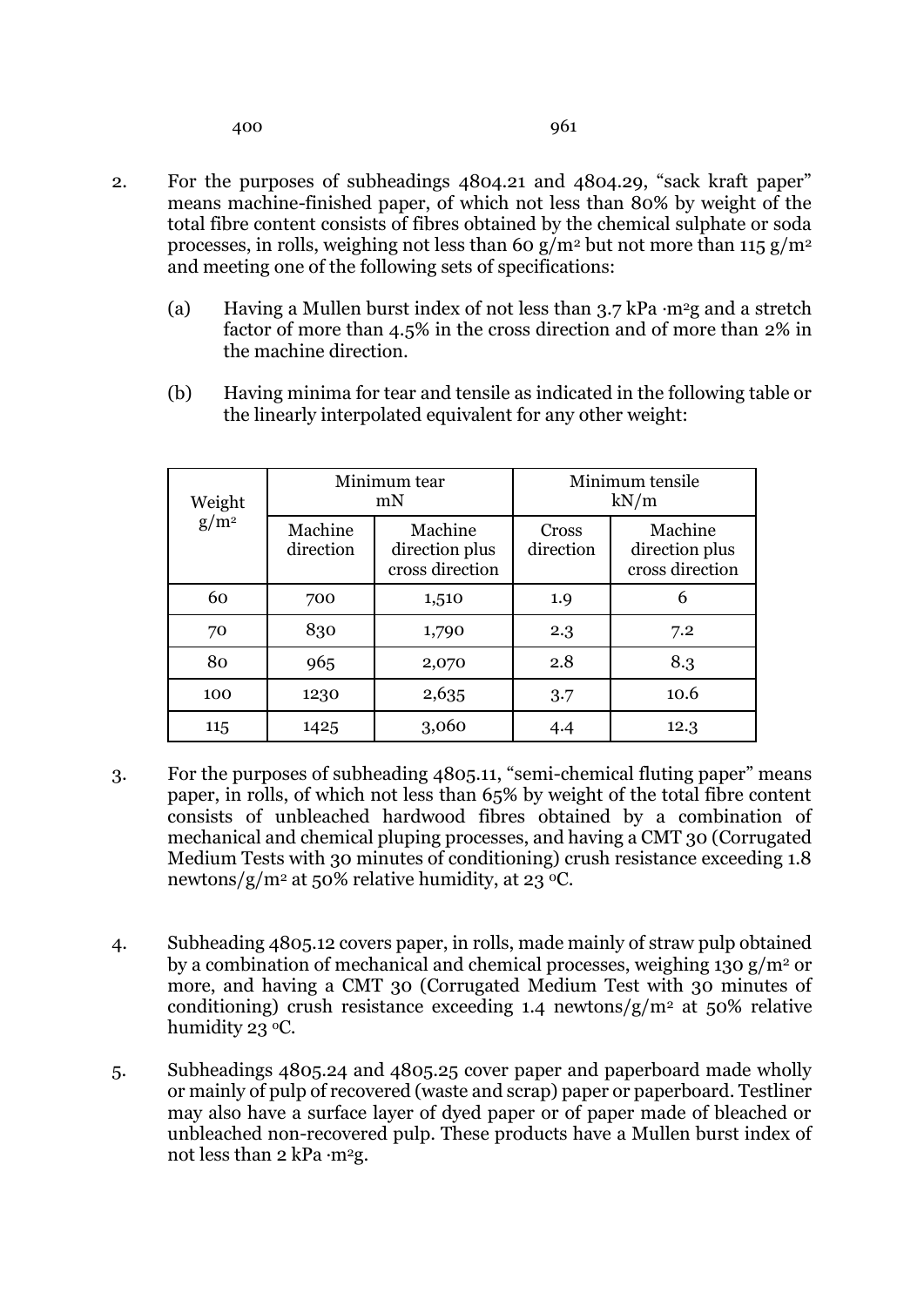- 2. For the purposes of subheadings 4804.21 and 4804.29, "sack kraft paper" means machine-finished paper, of which not less than 80% by weight of the total fibre content consists of fibres obtained by the chemical sulphate or soda processes, in rolls, weighing not less than 60 g/m<sup>2</sup> but not more than 115 g/m<sup>2</sup> and meeting one of the following sets of specifications:
	- (a) Having a Mullen burst index of not less than 3.7 kPa **.**m2g and a stretch factor of more than 4.5% in the cross direction and of more than 2% in the machine direction.
	- (b) Having minima for tear and tensile as indicated in the following table or the linearly interpolated equivalent for any other weight:

| Weight<br>$g/m^2$ |                      | Minimum tear<br>mN                           | Minimum tensile<br>kN/m |                                              |  |
|-------------------|----------------------|----------------------------------------------|-------------------------|----------------------------------------------|--|
|                   | Machine<br>direction | Machine<br>direction plus<br>cross direction | Cross<br>direction      | Machine<br>direction plus<br>cross direction |  |
| 60                | 700                  | 1,510                                        | 1.9                     | 6                                            |  |
| 70                | 830                  | 1,790                                        | 2.3                     | 7.2                                          |  |
| 80                | 965                  | 2,070                                        | 2.8                     | 8.3                                          |  |
| 100               | 1230                 | 2,635                                        | 3.7                     | 10.6                                         |  |
| 115               | 1425                 | 3,060                                        | 4.4                     | 12.3                                         |  |

- 3. For the purposes of subheading 4805.11, "semi-chemical fluting paper" means paper, in rolls, of which not less than 65% by weight of the total fibre content consists of unbleached hardwood fibres obtained by a combination of mechanical and chemical pluping processes, and having a CMT 30 (Corrugated Medium Tests with 30 minutes of conditioning) crush resistance exceeding 1.8 newtons/g/m<sup>2</sup> at 50% relative humidity, at 23 <sup>o</sup>C.
- 4. Subheading 4805.12 covers paper, in rolls, made mainly of straw pulp obtained by a combination of mechanical and chemical processes, weighing 130  $g/m^2$  or more, and having a CMT 30 (Corrugated Medium Test with 30 minutes of conditioning) crush resistance exceeding 1.4 newtons/ $g/m^2$  at 50% relative humidity 23 °C.
- 5. Subheadings 4805.24 and 4805.25 cover paper and paperboard made wholly or mainly of pulp of recovered (waste and scrap) paper or paperboard. Testliner may also have a surface layer of dyed paper or of paper made of bleached or unbleached non-recovered pulp. These products have a Mullen burst index of not less than 2 kPa ·m<sup>2</sup>g.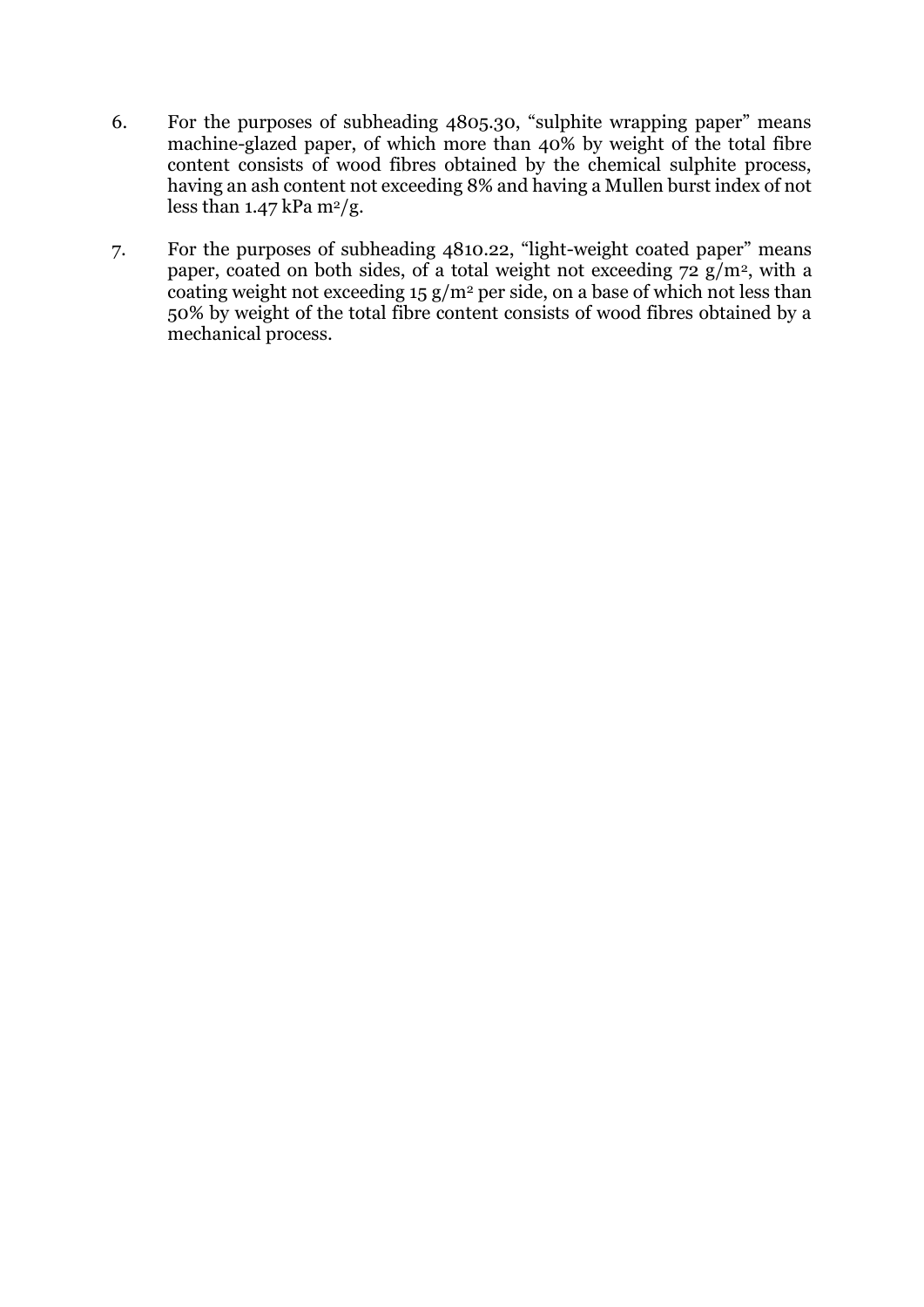- 6. For the purposes of subheading 4805.30, "sulphite wrapping paper" means machine-glazed paper, of which more than 40% by weight of the total fibre content consists of wood fibres obtained by the chemical sulphite process, having an ash content not exceeding 8% and having a Mullen burst index of not less than  $1.47$  kPa m<sup>2</sup>/g.
- 7. For the purposes of subheading 4810.22, "light-weight coated paper" means paper, coated on both sides, of a total weight not exceeding  $72 \text{ g/m}^2$ , with a coating weight not exceeding  $15 g/m^2$  per side, on a base of which not less than 50% by weight of the total fibre content consists of wood fibres obtained by a mechanical process.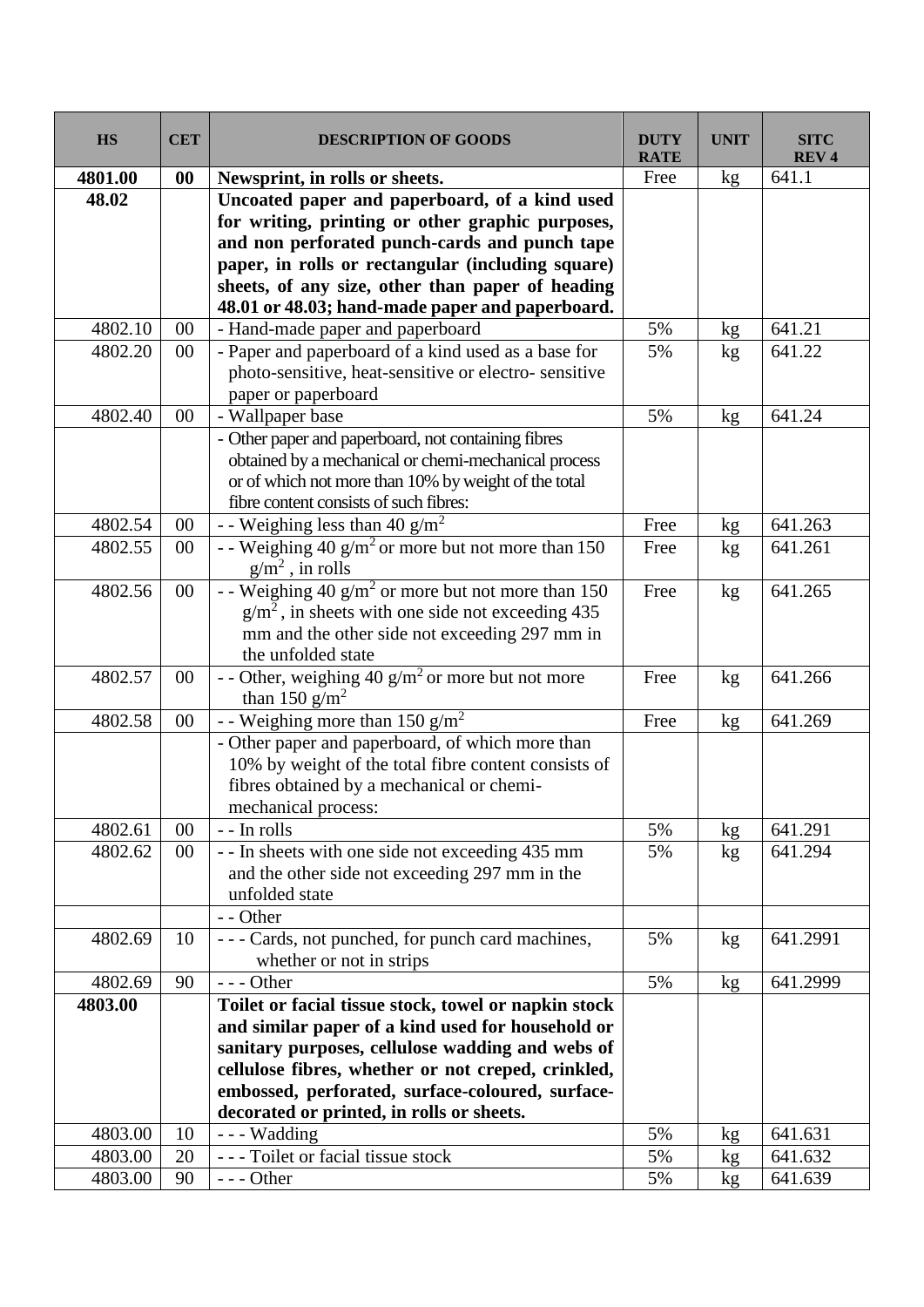| <b>HS</b> | <b>CET</b> | <b>DESCRIPTION OF GOODS</b>                           | <b>DUTY</b><br><b>RATE</b> | <b>UNIT</b> | <b>SITC</b><br><b>REV4</b> |
|-----------|------------|-------------------------------------------------------|----------------------------|-------------|----------------------------|
| 4801.00   | 00         | Newsprint, in rolls or sheets.                        | Free                       | kg          | 641.1                      |
| 48.02     |            | Uncoated paper and paperboard, of a kind used         |                            |             |                            |
|           |            | for writing, printing or other graphic purposes,      |                            |             |                            |
|           |            | and non perforated punch-cards and punch tape         |                            |             |                            |
|           |            | paper, in rolls or rectangular (including square)     |                            |             |                            |
|           |            | sheets, of any size, other than paper of heading      |                            |             |                            |
|           |            | 48.01 or 48.03; hand-made paper and paperboard.       |                            |             |                            |
| 4802.10   | 00         | - Hand-made paper and paperboard                      | 5%                         | kg          | 641.21                     |
| 4802.20   | $00\,$     | - Paper and paperboard of a kind used as a base for   | 5%                         | kg          | 641.22                     |
|           |            | photo-sensitive, heat-sensitive or electro-sensitive  |                            |             |                            |
|           |            | paper or paperboard                                   |                            |             |                            |
| 4802.40   | 00         | - Wallpaper base                                      | 5%                         | kg          | 641.24                     |
|           |            | - Other paper and paperboard, not containing fibres   |                            |             |                            |
|           |            | obtained by a mechanical or chemi-mechanical process  |                            |             |                            |
|           |            | or of which not more than 10% by weight of the total  |                            |             |                            |
|           |            | fibre content consists of such fibres:                |                            |             |                            |
| 4802.54   | $00\,$     | - - Weighing less than 40 g/m <sup>2</sup>            | Free                       | kg          | 641.263                    |
| 4802.55   | $00\,$     | - - Weighing 40 $g/m^2$ or more but not more than 150 | Free                       | kg          | 641.261                    |
|           |            | $g/m^2$ , in rolls                                    |                            |             |                            |
| 4802.56   | 00         | - - Weighing 40 $g/m^2$ or more but not more than 150 | Free                       | kg          | 641.265                    |
|           |            | $g/m2$ , in sheets with one side not exceeding 435    |                            |             |                            |
|           |            | mm and the other side not exceeding 297 mm in         |                            |             |                            |
|           |            | the unfolded state                                    |                            |             |                            |
| 4802.57   | 00         | - - Other, weighing $40 g/m2$ or more but not more    | Free                       | kg          | 641.266                    |
|           |            | than 150 $g/m^2$                                      |                            |             |                            |
| 4802.58   | 00         | - - Weighing more than 150 $g/m^2$                    | Free                       | kg          | 641.269                    |
|           |            | - Other paper and paperboard, of which more than      |                            |             |                            |
|           |            | 10% by weight of the total fibre content consists of  |                            |             |                            |
|           |            | fibres obtained by a mechanical or chemi-             |                            |             |                            |
|           |            | mechanical process:                                   |                            |             |                            |
| 4802.61   | 00         | - - In rolls                                          | 5%                         | kg          | 641.291                    |
| 4802.62   | $00\,$     | - - In sheets with one side not exceeding 435 mm      | 5%                         | kg          | 641.294                    |
|           |            | and the other side not exceeding 297 mm in the        |                            |             |                            |
|           |            | unfolded state                                        |                            |             |                            |
|           |            | - - Other                                             |                            |             |                            |
| 4802.69   | 10         | --- Cards, not punched, for punch card machines,      | 5%                         | kg          | 641.2991                   |
|           |            | whether or not in strips                              |                            |             |                            |
| 4802.69   | 90         | $--$ Other                                            | 5%                         | kg          | 641.2999                   |
| 4803.00   |            | Toilet or facial tissue stock, towel or napkin stock  |                            |             |                            |
|           |            | and similar paper of a kind used for household or     |                            |             |                            |
|           |            | sanitary purposes, cellulose wadding and webs of      |                            |             |                            |
|           |            | cellulose fibres, whether or not creped, crinkled,    |                            |             |                            |
|           |            | embossed, perforated, surface-coloured, surface-      |                            |             |                            |
|           |            | decorated or printed, in rolls or sheets.             |                            |             |                            |
| 4803.00   | 10         | --- Wadding                                           | 5%                         | kg          | 641.631                    |
| 4803.00   | 20         | --- Toilet or facial tissue stock                     | 5%                         | kg          | 641.632                    |
| 4803.00   | 90         | $--$ Other                                            | 5%                         | kg          | 641.639                    |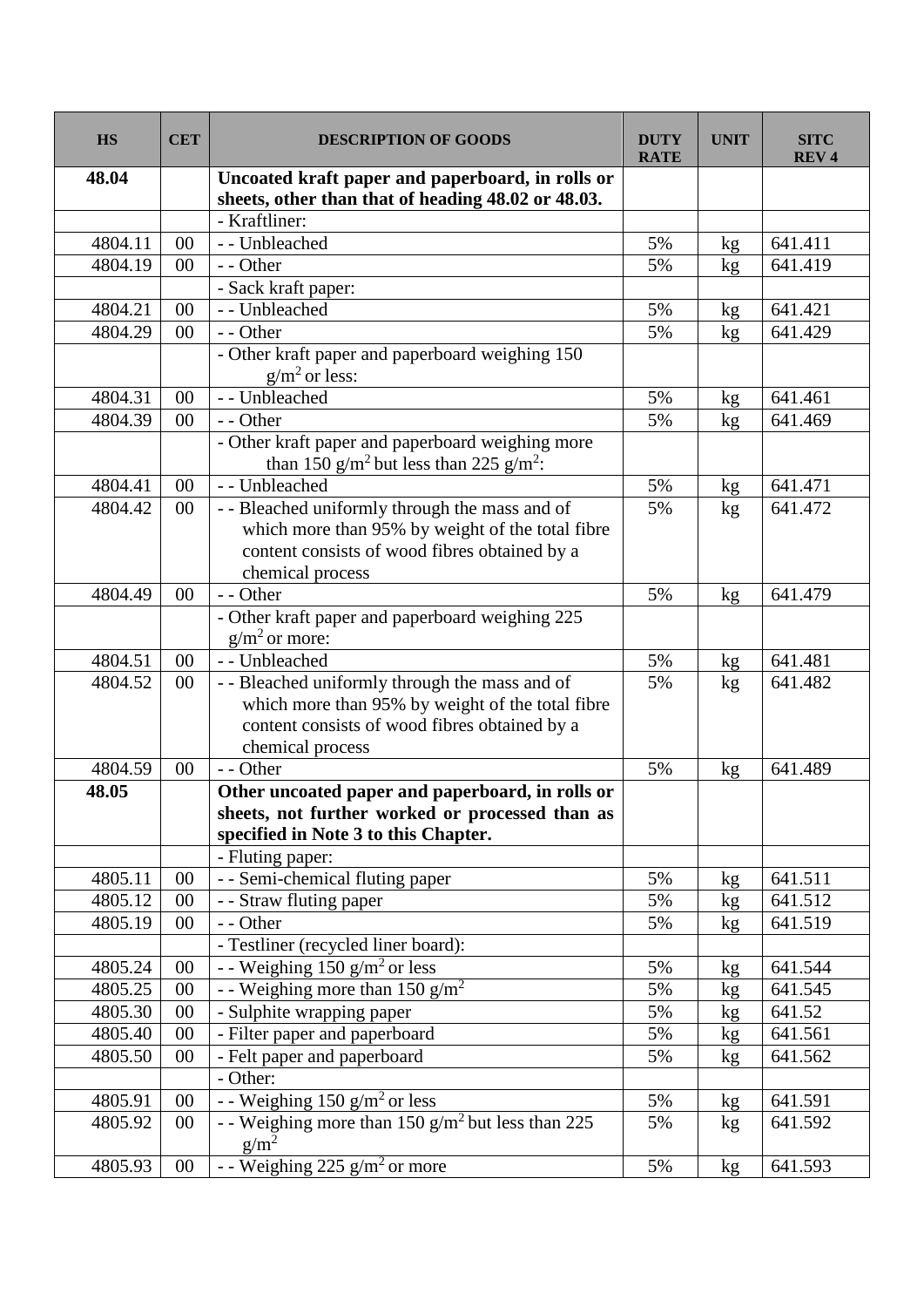| <b>HS</b> | <b>CET</b> | <b>DESCRIPTION OF GOODS</b>                                                                                                                                             | <b>DUTY</b><br><b>RATE</b> | <b>UNIT</b>     | <b>SITC</b><br><b>REV4</b> |
|-----------|------------|-------------------------------------------------------------------------------------------------------------------------------------------------------------------------|----------------------------|-----------------|----------------------------|
| 48.04     |            | Uncoated kraft paper and paperboard, in rolls or<br>sheets, other than that of heading 48.02 or 48.03.                                                                  |                            |                 |                            |
|           |            | - Kraftliner:                                                                                                                                                           |                            |                 |                            |
| 4804.11   | 00         | - - Unbleached                                                                                                                                                          | 5%                         | kg              | 641.411                    |
| 4804.19   | 00         | - - Other                                                                                                                                                               | 5%                         | kg              | 641.419                    |
|           |            | - Sack kraft paper:                                                                                                                                                     |                            |                 |                            |
| 4804.21   | 00         | - - Unbleached                                                                                                                                                          | 5%                         | kg              | 641.421                    |
| 4804.29   | $00\,$     | - - Other                                                                                                                                                               | 5%                         | kg              | 641.429                    |
|           |            | - Other kraft paper and paperboard weighing 150<br>$g/m2$ or less:                                                                                                      |                            |                 |                            |
| 4804.31   | 00         | - - Unbleached                                                                                                                                                          | 5%                         | kg              | 641.461                    |
| 4804.39   | 00         | - - Other                                                                                                                                                               | 5%                         | kg              | 641.469                    |
|           |            | - Other kraft paper and paperboard weighing more<br>than 150 g/m <sup>2</sup> but less than 225 g/m <sup>2</sup> :                                                      |                            |                 |                            |
| 4804.41   | $00\,$     | - - Unbleached                                                                                                                                                          | 5%                         | kg <sub>2</sub> | 641.471                    |
| 4804.42   | $00\,$     | - - Bleached uniformly through the mass and of<br>which more than 95% by weight of the total fibre<br>content consists of wood fibres obtained by a<br>chemical process | 5%                         | kg              | 641.472                    |
| 4804.49   | 00         | - - Other                                                                                                                                                               | 5%                         | kg              | 641.479                    |
|           |            | - Other kraft paper and paperboard weighing 225<br>$g/m2$ or more:                                                                                                      |                            |                 |                            |
| 4804.51   | 00         | - - Unbleached                                                                                                                                                          | 5%                         | kg              | 641.481                    |
| 4804.52   | $00\,$     | - - Bleached uniformly through the mass and of<br>which more than 95% by weight of the total fibre<br>content consists of wood fibres obtained by a<br>chemical process | 5%                         | kg              | 641.482                    |
| 4804.59   | 00         | - - Other                                                                                                                                                               | 5%                         | kg              | 641.489                    |
| 48.05     |            | Other uncoated paper and paperboard, in rolls or<br>sheets, not further worked or processed than as<br>specified in Note 3 to this Chapter.<br>- Fluting paper:         |                            |                 |                            |
| 4805.11   | 00         | - - Semi-chemical fluting paper                                                                                                                                         | 5%                         | kg              | 641.511                    |
| 4805.12   | 00         | - - Straw fluting paper                                                                                                                                                 | 5%                         | kg              | 641.512                    |
| 4805.19   | 00         | - - Other                                                                                                                                                               | 5%                         | kg              | 641.519                    |
|           |            | - Testliner (recycled liner board):                                                                                                                                     |                            |                 |                            |
| 4805.24   | $00\,$     | $\overline{\phantom{2}}$ - Weighing 150 g/m <sup>2</sup> or less                                                                                                        | 5%                         | kg              | 641.544                    |
| 4805.25   | $00\,$     | - - Weighing more than 150 g/m <sup>2</sup>                                                                                                                             | 5%                         | kg              | 641.545                    |
| 4805.30   | $00\,$     | - Sulphite wrapping paper                                                                                                                                               | 5%                         | kg              | 641.52                     |
| 4805.40   | 00         | - Filter paper and paperboard                                                                                                                                           | 5%                         | kg              | 641.561                    |
| 4805.50   | 00         | - Felt paper and paperboard                                                                                                                                             | 5%                         | kg              | 641.562                    |
|           |            | - Other:                                                                                                                                                                |                            |                 |                            |
| 4805.91   | 00         | - - Weighing $150 \text{ g/m}^2$ or less                                                                                                                                | 5%                         | kg              | 641.591                    |
| 4805.92   | $00\,$     | - Weighing more than 150 $g/m2$ but less than 225<br>$g/m^2$                                                                                                            | 5%                         | kg              | 641.592                    |
| 4805.93   | $00\,$     | - - Weighing 225 $g/m2$ or more                                                                                                                                         | 5%                         | kg              | 641.593                    |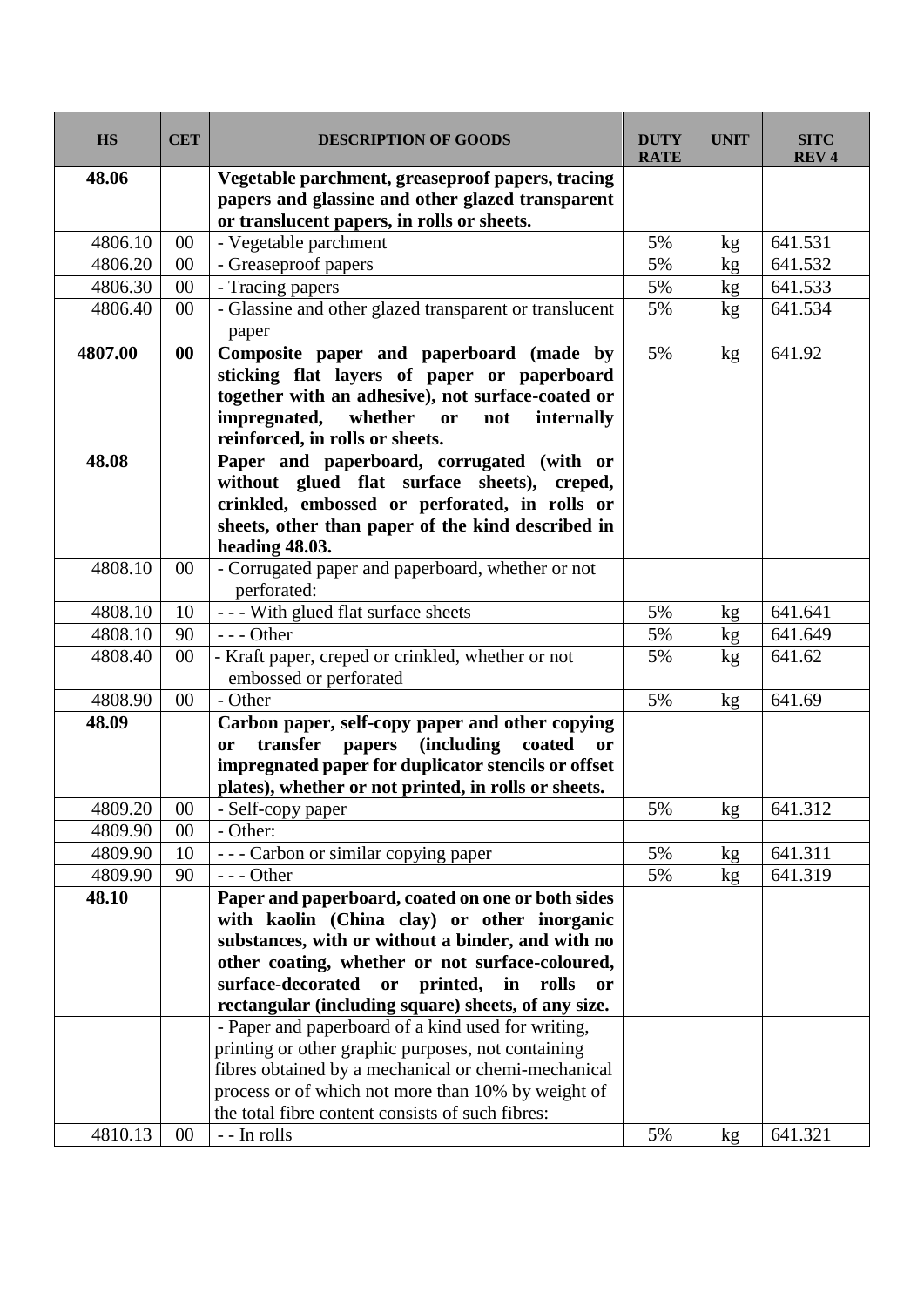| <b>HS</b> | <b>CET</b> | <b>DESCRIPTION OF GOODS</b>                                                                                                                                                                                                                                                                                                                                                                                                                                                                                                                                                                               | <b>DUTY</b><br><b>RATE</b> | <b>UNIT</b> | <b>SITC</b><br><b>REV4</b> |
|-----------|------------|-----------------------------------------------------------------------------------------------------------------------------------------------------------------------------------------------------------------------------------------------------------------------------------------------------------------------------------------------------------------------------------------------------------------------------------------------------------------------------------------------------------------------------------------------------------------------------------------------------------|----------------------------|-------------|----------------------------|
| 48.06     |            | Vegetable parchment, greaseproof papers, tracing<br>papers and glassine and other glazed transparent<br>or translucent papers, in rolls or sheets.                                                                                                                                                                                                                                                                                                                                                                                                                                                        |                            |             |                            |
| 4806.10   | 00         | - Vegetable parchment                                                                                                                                                                                                                                                                                                                                                                                                                                                                                                                                                                                     | 5%                         | kg          | 641.531                    |
| 4806.20   | 00         | - Greaseproof papers                                                                                                                                                                                                                                                                                                                                                                                                                                                                                                                                                                                      | 5%                         | kg          | 641.532                    |
| 4806.30   | $00\,$     | - Tracing papers                                                                                                                                                                                                                                                                                                                                                                                                                                                                                                                                                                                          | 5%                         | kg          | 641.533                    |
| 4806.40   | $00\,$     | - Glassine and other glazed transparent or translucent<br>paper                                                                                                                                                                                                                                                                                                                                                                                                                                                                                                                                           | 5%                         | kg          | 641.534                    |
| 4807.00   | 00         | Composite paper and paperboard (made by<br>sticking flat layers of paper or paperboard<br>together with an adhesive), not surface-coated or<br>impregnated,<br>whether<br>or<br>not<br>internally<br>reinforced, in rolls or sheets.                                                                                                                                                                                                                                                                                                                                                                      | 5%                         | kg          | 641.92                     |
| 48.08     |            | Paper and paperboard, corrugated (with or<br>without glued flat surface sheets), creped,<br>crinkled, embossed or perforated, in rolls or<br>sheets, other than paper of the kind described in<br>heading 48.03.                                                                                                                                                                                                                                                                                                                                                                                          |                            |             |                            |
| 4808.10   | 00         | - Corrugated paper and paperboard, whether or not<br>perforated:                                                                                                                                                                                                                                                                                                                                                                                                                                                                                                                                          |                            |             |                            |
| 4808.10   | 10         | --- With glued flat surface sheets                                                                                                                                                                                                                                                                                                                                                                                                                                                                                                                                                                        | 5%                         | kg          | 641.641                    |
| 4808.10   | 90         | $--$ Other                                                                                                                                                                                                                                                                                                                                                                                                                                                                                                                                                                                                | 5%                         | kg          | 641.649                    |
| 4808.40   | 00         | - Kraft paper, creped or crinkled, whether or not<br>embossed or perforated                                                                                                                                                                                                                                                                                                                                                                                                                                                                                                                               | 5%                         | kg          | 641.62                     |
| 4808.90   | $00\,$     | - Other                                                                                                                                                                                                                                                                                                                                                                                                                                                                                                                                                                                                   | 5%                         | kg          | 641.69                     |
| 48.09     |            | Carbon paper, self-copy paper and other copying<br><i>(including)</i><br>transfer<br>papers<br>coated<br>or<br><b>or</b><br>impregnated paper for duplicator stencils or offset<br>plates), whether or not printed, in rolls or sheets.                                                                                                                                                                                                                                                                                                                                                                   |                            |             |                            |
| 4809.20   | $00\,$     | - Self-copy paper                                                                                                                                                                                                                                                                                                                                                                                                                                                                                                                                                                                         | 5%                         | kg          | 641.312                    |
| 4809.90   | 00         | - Other:                                                                                                                                                                                                                                                                                                                                                                                                                                                                                                                                                                                                  |                            |             |                            |
| 4809.90   | 10         | --- Carbon or similar copying paper                                                                                                                                                                                                                                                                                                                                                                                                                                                                                                                                                                       | 5%                         | kg          | 641.311                    |
| 4809.90   | 90         | $--$ Other                                                                                                                                                                                                                                                                                                                                                                                                                                                                                                                                                                                                | 5%                         | kg          | 641.319                    |
| 48.10     |            | Paper and paperboard, coated on one or both sides<br>with kaolin (China clay) or other inorganic<br>substances, with or without a binder, and with no<br>other coating, whether or not surface-coloured,<br>surface-decorated<br>printed, in rolls<br>or<br><b>or</b><br>rectangular (including square) sheets, of any size.<br>- Paper and paperboard of a kind used for writing,<br>printing or other graphic purposes, not containing<br>fibres obtained by a mechanical or chemi-mechanical<br>process or of which not more than 10% by weight of<br>the total fibre content consists of such fibres: |                            |             |                            |
| 4810.13   | 00         | - - In rolls                                                                                                                                                                                                                                                                                                                                                                                                                                                                                                                                                                                              | 5%                         | kg          | 641.321                    |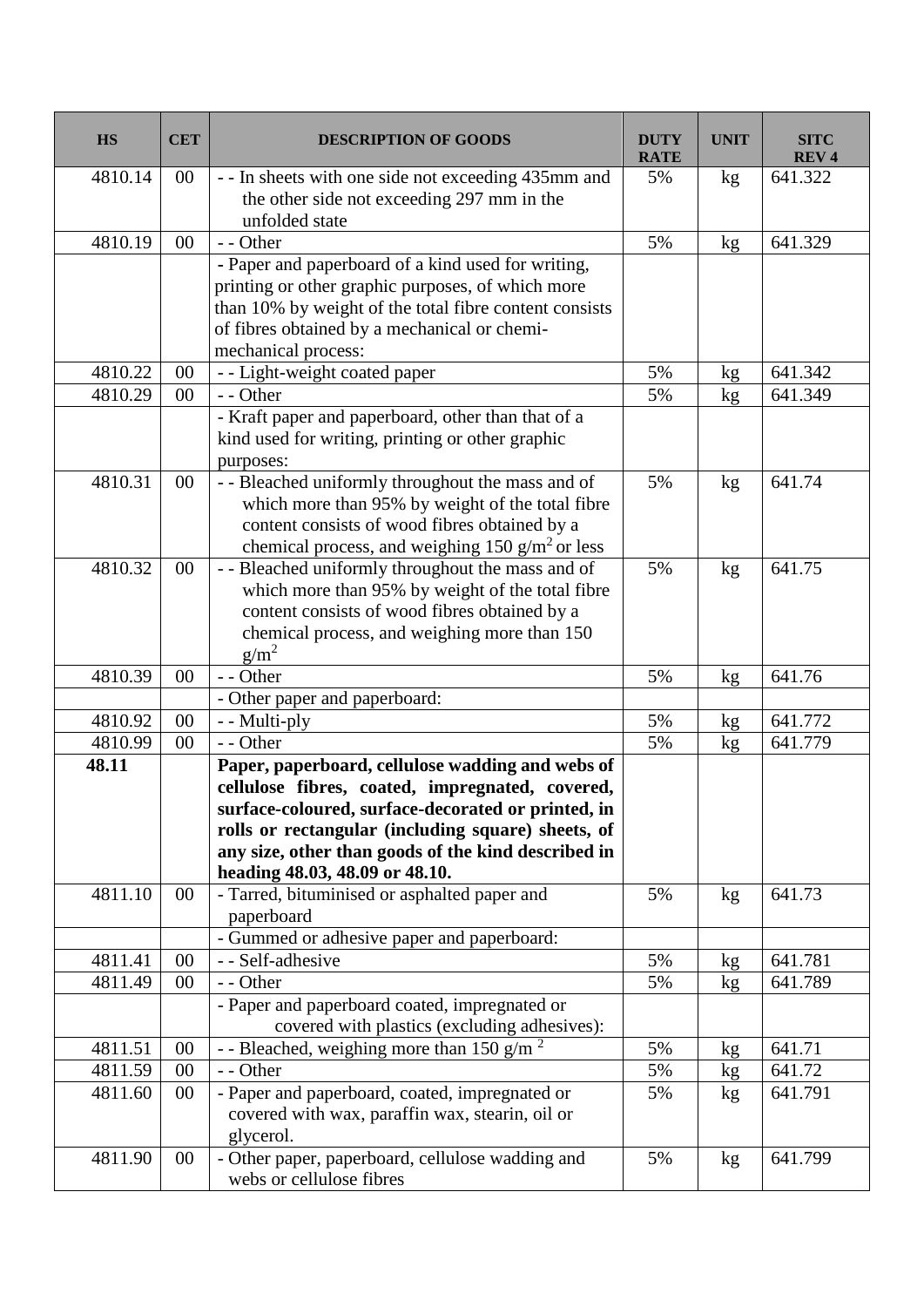| <b>HS</b> | <b>CET</b> | <b>DESCRIPTION OF GOODS</b>                                                                              | <b>DUTY</b><br><b>RATE</b> | <b>UNIT</b>     | <b>SITC</b><br><b>REV4</b> |
|-----------|------------|----------------------------------------------------------------------------------------------------------|----------------------------|-----------------|----------------------------|
| 4810.14   | $00\,$     | - - In sheets with one side not exceeding 435mm and                                                      | 5%                         | kg              | 641.322                    |
|           |            | the other side not exceeding 297 mm in the                                                               |                            |                 |                            |
|           |            | unfolded state                                                                                           |                            |                 |                            |
| 4810.19   | 00         | - - Other                                                                                                | 5%                         | kg              | 641.329                    |
|           |            | - Paper and paperboard of a kind used for writing,                                                       |                            |                 |                            |
|           |            | printing or other graphic purposes, of which more                                                        |                            |                 |                            |
|           |            | than 10% by weight of the total fibre content consists                                                   |                            |                 |                            |
|           |            | of fibres obtained by a mechanical or chemi-                                                             |                            |                 |                            |
|           |            | mechanical process:                                                                                      |                            |                 |                            |
| 4810.22   | 00         | - - Light-weight coated paper                                                                            | 5%                         | kg              | 641.342                    |
| 4810.29   | 00         | - - Other                                                                                                | 5%                         | kg              | 641.349                    |
|           |            | - Kraft paper and paperboard, other than that of a                                                       |                            |                 |                            |
|           |            | kind used for writing, printing or other graphic                                                         |                            |                 |                            |
|           |            | purposes:                                                                                                |                            |                 |                            |
| 4810.31   | 00         | - - Bleached uniformly throughout the mass and of                                                        | 5%                         | kg              | 641.74                     |
|           |            | which more than 95% by weight of the total fibre                                                         |                            |                 |                            |
|           |            | content consists of wood fibres obtained by a                                                            |                            |                 |                            |
|           |            | chemical process, and weighing $150$ g/m <sup>2</sup> or less                                            |                            |                 |                            |
| 4810.32   | $00\,$     | - - Bleached uniformly throughout the mass and of                                                        | 5%                         | kg              | 641.75                     |
|           |            | which more than 95% by weight of the total fibre                                                         |                            |                 |                            |
|           |            | content consists of wood fibres obtained by a                                                            |                            |                 |                            |
|           |            | chemical process, and weighing more than 150                                                             |                            |                 |                            |
|           |            | $g/m^2$                                                                                                  |                            |                 |                            |
| 4810.39   | 00         | - - Other                                                                                                | 5%                         | kg              | 641.76                     |
|           |            | - Other paper and paperboard:                                                                            |                            |                 |                            |
| 4810.92   | 00         | - - Multi-ply                                                                                            | 5%                         | kg              | 641.772                    |
| 4810.99   | 00         | - - Other                                                                                                | 5%                         | kg              | 641.779                    |
| 48.11     |            | Paper, paperboard, cellulose wadding and webs of                                                         |                            |                 |                            |
|           |            | cellulose fibres, coated, impregnated, covered,                                                          |                            |                 |                            |
|           |            | surface-coloured, surface-decorated or printed, in<br>rolls or rectangular (including square) sheets, of |                            |                 |                            |
|           |            | any size, other than goods of the kind described in                                                      |                            |                 |                            |
|           |            | heading 48.03, 48.09 or 48.10.                                                                           |                            |                 |                            |
| 4811.10   | $00\,$     | - Tarred, bituminised or asphalted paper and                                                             | 5%                         | kg <sub>2</sub> | 641.73                     |
|           |            | paperboard                                                                                               |                            |                 |                            |
|           |            | - Gummed or adhesive paper and paperboard:                                                               |                            |                 |                            |
| 4811.41   | 00         | - - Self-adhesive                                                                                        | 5%                         | kg              | 641.781                    |
| 4811.49   | $00\,$     | - - Other                                                                                                | 5%                         | kg              | 641.789                    |
|           |            | - Paper and paperboard coated, impregnated or                                                            |                            |                 |                            |
|           |            | covered with plastics (excluding adhesives):                                                             |                            |                 |                            |
| 4811.51   | 00         | - - Bleached, weighing more than 150 g/m <sup>2</sup>                                                    | 5%                         | kg              | 641.71                     |
| 4811.59   | $00\,$     | - - Other                                                                                                | 5%                         | kg              | 641.72                     |
| 4811.60   | $00\,$     | - Paper and paperboard, coated, impregnated or                                                           | 5%                         | kg              | 641.791                    |
|           |            | covered with wax, paraffin wax, stearin, oil or                                                          |                            |                 |                            |
|           |            | glycerol.                                                                                                |                            |                 |                            |
| 4811.90   | $00\,$     | - Other paper, paperboard, cellulose wadding and                                                         | 5%                         | kg              | 641.799                    |
|           |            | webs or cellulose fibres                                                                                 |                            |                 |                            |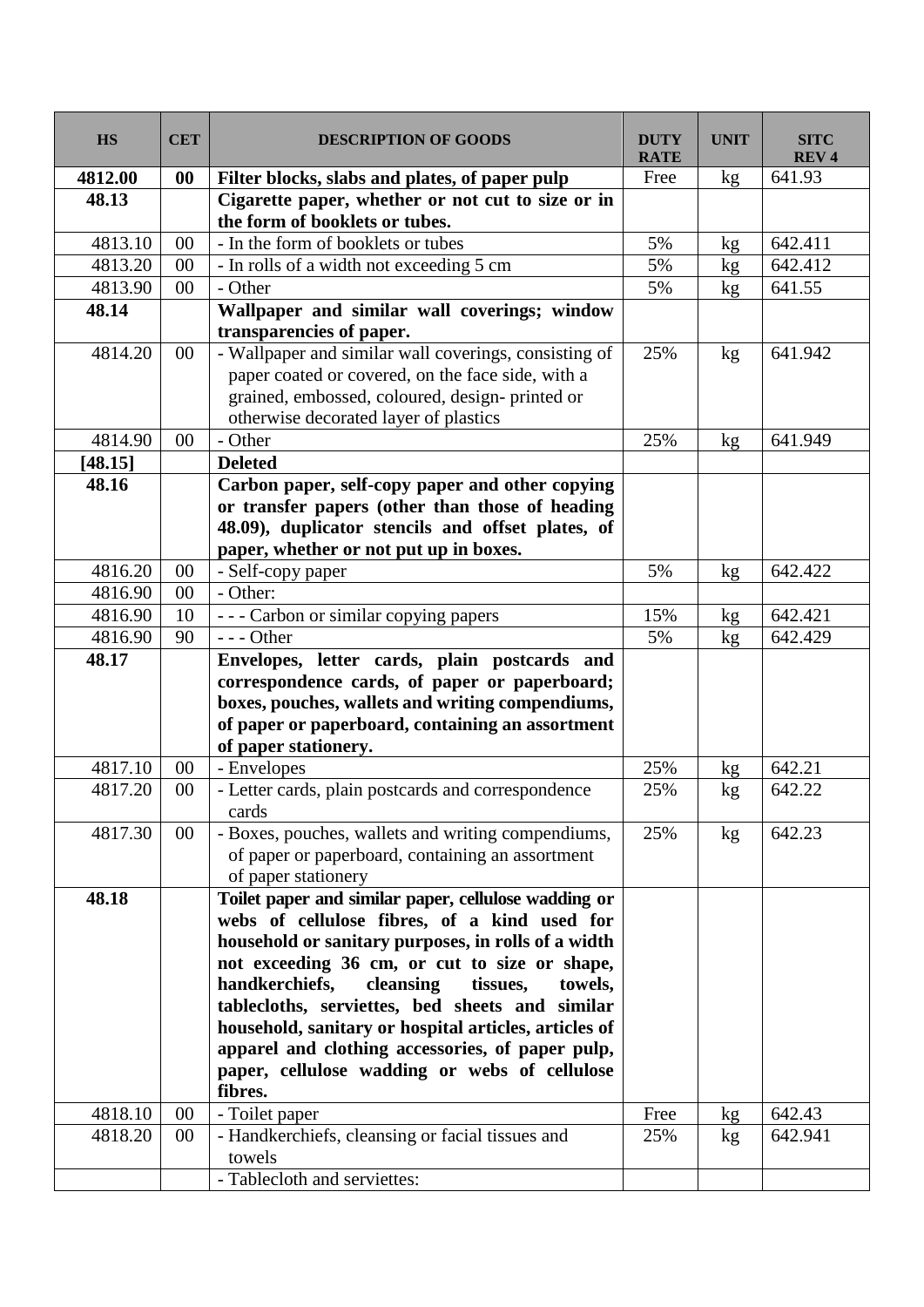| <b>HS</b> | <b>CET</b> | <b>DESCRIPTION OF GOODS</b>                                                                                                                                                                                                                                                                                                                                                                                                                                                                    | <b>DUTY</b><br><b>RATE</b> | <b>UNIT</b> | <b>SITC</b><br><b>REV4</b> |
|-----------|------------|------------------------------------------------------------------------------------------------------------------------------------------------------------------------------------------------------------------------------------------------------------------------------------------------------------------------------------------------------------------------------------------------------------------------------------------------------------------------------------------------|----------------------------|-------------|----------------------------|
| 4812.00   | 00         | Filter blocks, slabs and plates, of paper pulp                                                                                                                                                                                                                                                                                                                                                                                                                                                 | Free                       | kg          | 641.93                     |
| 48.13     |            | Cigarette paper, whether or not cut to size or in<br>the form of booklets or tubes.                                                                                                                                                                                                                                                                                                                                                                                                            |                            |             |                            |
| 4813.10   | 00         | - In the form of booklets or tubes                                                                                                                                                                                                                                                                                                                                                                                                                                                             | 5%                         | kg          | 642.411                    |
| 4813.20   | 00         | - In rolls of a width not exceeding 5 cm                                                                                                                                                                                                                                                                                                                                                                                                                                                       | 5%                         | kg          | 642.412                    |
| 4813.90   | $00\,$     | - Other                                                                                                                                                                                                                                                                                                                                                                                                                                                                                        | 5%                         | kg          | 641.55                     |
| 48.14     |            | Wallpaper and similar wall coverings; window<br>transparencies of paper.                                                                                                                                                                                                                                                                                                                                                                                                                       |                            |             |                            |
| 4814.20   | $00\,$     | - Wallpaper and similar wall coverings, consisting of<br>paper coated or covered, on the face side, with a<br>grained, embossed, coloured, design-printed or<br>otherwise decorated layer of plastics                                                                                                                                                                                                                                                                                          | 25%                        | kg          | 641.942                    |
| 4814.90   | 00         | - Other                                                                                                                                                                                                                                                                                                                                                                                                                                                                                        | 25%                        | kg          | 641.949                    |
| [48.15]   |            | <b>Deleted</b>                                                                                                                                                                                                                                                                                                                                                                                                                                                                                 |                            |             |                            |
| 48.16     |            | Carbon paper, self-copy paper and other copying<br>or transfer papers (other than those of heading<br>48.09), duplicator stencils and offset plates, of<br>paper, whether or not put up in boxes.                                                                                                                                                                                                                                                                                              |                            |             |                            |
| 4816.20   | $00\,$     | - Self-copy paper                                                                                                                                                                                                                                                                                                                                                                                                                                                                              | 5%                         | kg          | 642.422                    |
| 4816.90   | 00         | - Other:                                                                                                                                                                                                                                                                                                                                                                                                                                                                                       |                            |             |                            |
| 4816.90   | 10         | - - - Carbon or similar copying papers                                                                                                                                                                                                                                                                                                                                                                                                                                                         | 15%                        | kg          | 642.421                    |
| 4816.90   | 90         | $--$ Other                                                                                                                                                                                                                                                                                                                                                                                                                                                                                     | 5%                         | kg          | 642.429                    |
| 48.17     |            | Envelopes, letter cards, plain postcards and<br>correspondence cards, of paper or paperboard;<br>boxes, pouches, wallets and writing compendiums,<br>of paper or paperboard, containing an assortment<br>of paper stationery.                                                                                                                                                                                                                                                                  |                            |             |                            |
| 4817.10   | $00\,$     | - Envelopes                                                                                                                                                                                                                                                                                                                                                                                                                                                                                    | 25%                        | kg          | 642.21                     |
| 4817.20   | $00\,$     | - Letter cards, plain postcards and correspondence<br>cards                                                                                                                                                                                                                                                                                                                                                                                                                                    | 25%                        | kg          | 642.22                     |
| 4817.30   | $00\,$     | - Boxes, pouches, wallets and writing compendiums,<br>of paper or paperboard, containing an assortment<br>of paper stationery                                                                                                                                                                                                                                                                                                                                                                  | 25%                        | kg          | 642.23                     |
| 48.18     |            | Toilet paper and similar paper, cellulose wadding or<br>webs of cellulose fibres, of a kind used for<br>household or sanitary purposes, in rolls of a width<br>not exceeding 36 cm, or cut to size or shape,<br>handkerchiefs,<br>cleansing<br>tissues,<br>towels.<br>tablecloths, serviettes, bed sheets and similar<br>household, sanitary or hospital articles, articles of<br>apparel and clothing accessories, of paper pulp,<br>paper, cellulose wadding or webs of cellulose<br>fibres. |                            |             |                            |
| 4818.10   | 00         | - Toilet paper                                                                                                                                                                                                                                                                                                                                                                                                                                                                                 | Free                       | kg          | 642.43                     |
| 4818.20   | $00\,$     | - Handkerchiefs, cleansing or facial tissues and<br>towels                                                                                                                                                                                                                                                                                                                                                                                                                                     | 25%                        | kg          | 642.941                    |
|           |            | - Tablecloth and serviettes:                                                                                                                                                                                                                                                                                                                                                                                                                                                                   |                            |             |                            |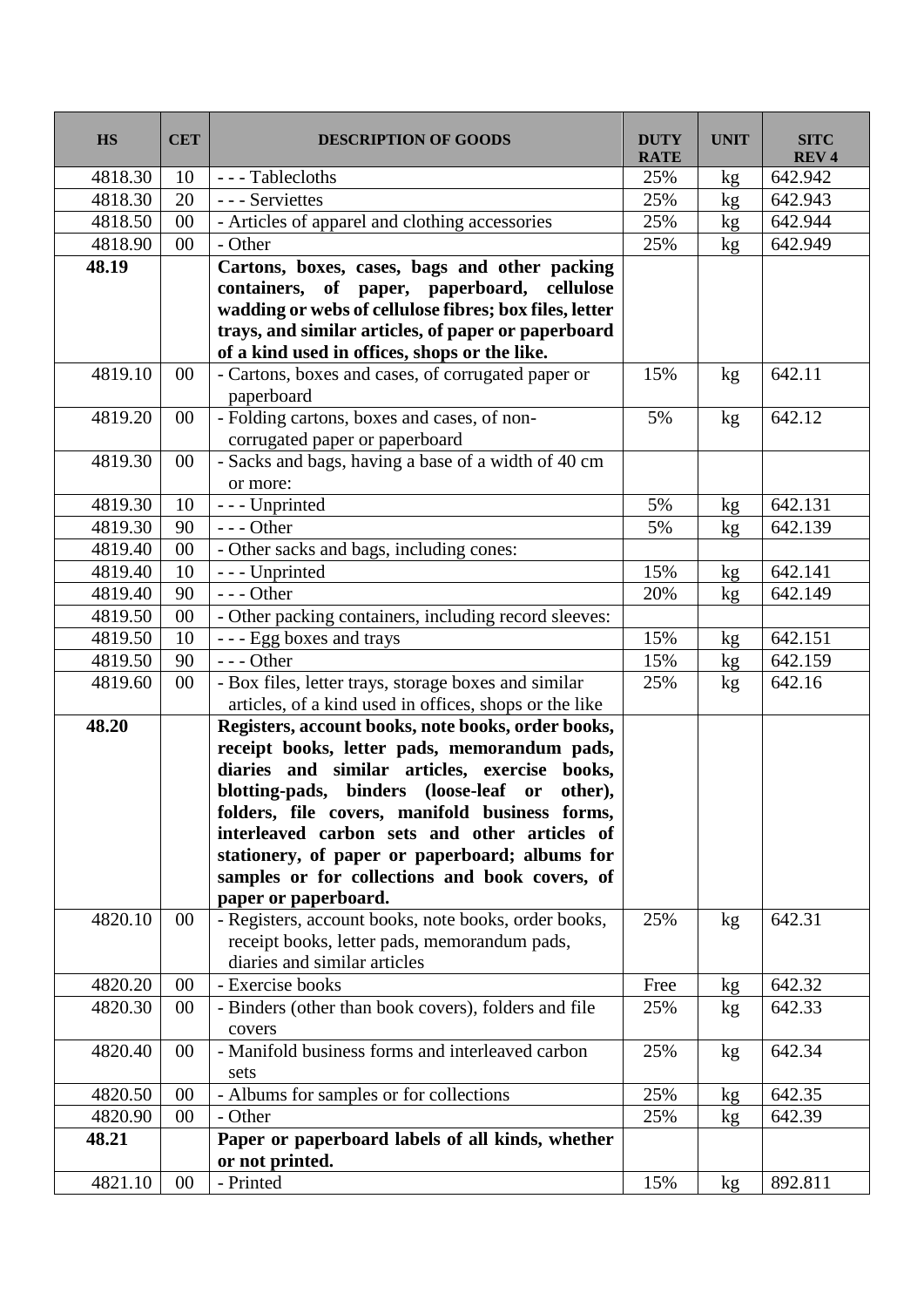| <b>HS</b> | <b>CET</b> | <b>DESCRIPTION OF GOODS</b>                                                                     | <b>DUTY</b><br><b>RATE</b> | <b>UNIT</b> | <b>SITC</b><br>REV <sub>4</sub> |
|-----------|------------|-------------------------------------------------------------------------------------------------|----------------------------|-------------|---------------------------------|
| 4818.30   | 10         | --- Tablecloths                                                                                 | 25%                        | kg          | 642.942                         |
| 4818.30   | 20         | - - - Serviettes                                                                                | 25%                        | kg          | 642.943                         |
| 4818.50   | 00         | - Articles of apparel and clothing accessories                                                  | 25%                        | kg          | 642.944                         |
| 4818.90   | 00         | - Other                                                                                         | 25%                        | kg          | 642.949                         |
| 48.19     |            | Cartons, boxes, cases, bags and other packing                                                   |                            |             |                                 |
|           |            | containers, of paper, paperboard, cellulose                                                     |                            |             |                                 |
|           |            | wadding or webs of cellulose fibres; box files, letter                                          |                            |             |                                 |
|           |            | trays, and similar articles, of paper or paperboard                                             |                            |             |                                 |
|           |            | of a kind used in offices, shops or the like.                                                   |                            |             |                                 |
| 4819.10   | $00\,$     | - Cartons, boxes and cases, of corrugated paper or                                              | 15%                        | kg          | 642.11                          |
|           |            | paperboard                                                                                      |                            |             |                                 |
| 4819.20   | $00\,$     | - Folding cartons, boxes and cases, of non-                                                     | 5%                         | kg          | 642.12                          |
|           |            | corrugated paper or paperboard                                                                  |                            |             |                                 |
| 4819.30   | 00         | - Sacks and bags, having a base of a width of 40 cm                                             |                            |             |                                 |
|           |            | or more:                                                                                        |                            |             |                                 |
| 4819.30   | 10         | - - - Unprinted                                                                                 | 5%                         | kg          | 642.131                         |
| 4819.30   | 90         | $--$ Other                                                                                      | 5%                         | kg          | 642.139                         |
| 4819.40   | $00\,$     | - Other sacks and bags, including cones:                                                        |                            |             |                                 |
| 4819.40   | 10         | - - - Unprinted                                                                                 | 15%                        | kg          | 642.141                         |
| 4819.40   | 90         | $--$ Other                                                                                      | 20%                        | kg          | 642.149                         |
| 4819.50   | $00\,$     | - Other packing containers, including record sleeves:                                           |                            |             |                                 |
| 4819.50   | 10         | - - - Egg boxes and trays                                                                       | 15%                        | kg          | 642.151                         |
| 4819.50   | 90         | $--$ Other                                                                                      | 15%                        | kg          | 642.159                         |
| 4819.60   | 00         | - Box files, letter trays, storage boxes and similar                                            | 25%                        | kg          | 642.16                          |
|           |            | articles, of a kind used in offices, shops or the like                                          |                            |             |                                 |
| 48.20     |            | Registers, account books, note books, order books,                                              |                            |             |                                 |
|           |            | receipt books, letter pads, memorandum pads,                                                    |                            |             |                                 |
|           |            | diaries and similar articles, exercise books,                                                   |                            |             |                                 |
|           |            | blotting-pads, binders (loose-leaf or other),<br>folders, file covers, manifold business forms, |                            |             |                                 |
|           |            | interleaved carbon sets and other articles of                                                   |                            |             |                                 |
|           |            | stationery, of paper or paperboard; albums for                                                  |                            |             |                                 |
|           |            | samples or for collections and book covers, of                                                  |                            |             |                                 |
|           |            | paper or paperboard.                                                                            |                            |             |                                 |
| 4820.10   | $00\,$     | - Registers, account books, note books, order books,                                            | 25%                        | kg          | 642.31                          |
|           |            | receipt books, letter pads, memorandum pads,                                                    |                            |             |                                 |
|           |            | diaries and similar articles                                                                    |                            |             |                                 |
| 4820.20   | 00         | - Exercise books                                                                                | Free                       | kg          | 642.32                          |
| 4820.30   | 00         | - Binders (other than book covers), folders and file                                            | 25%                        | kg          | 642.33                          |
|           |            | covers                                                                                          |                            |             |                                 |
| 4820.40   | $00\,$     | - Manifold business forms and interleaved carbon                                                | 25%                        | kg          | 642.34                          |
|           |            | sets                                                                                            |                            |             |                                 |
| 4820.50   | 00         | - Albums for samples or for collections                                                         | 25%                        | kg          | 642.35                          |
| 4820.90   | $00\,$     | - Other                                                                                         | 25%                        | kg          | 642.39                          |
| 48.21     |            | Paper or paperboard labels of all kinds, whether                                                |                            |             |                                 |
|           |            | or not printed.                                                                                 |                            |             |                                 |
| 4821.10   | 00         | - Printed                                                                                       | 15%                        | kg          | 892.811                         |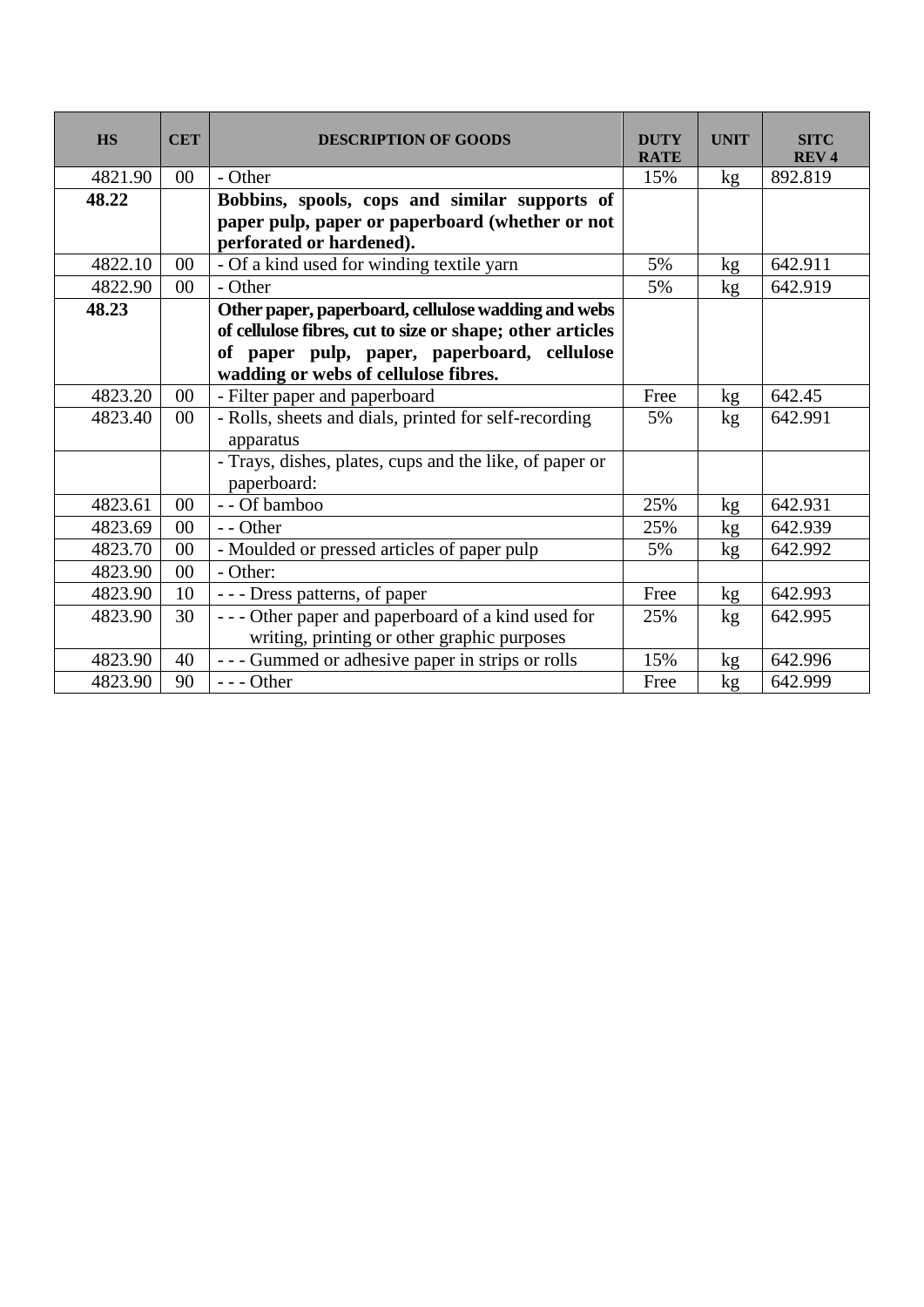| <b>HS</b> | <b>CET</b> | <b>DESCRIPTION OF GOODS</b>                                                 | <b>DUTY</b><br><b>RATE</b> | <b>UNIT</b>     | <b>SITC</b><br><b>REV4</b> |
|-----------|------------|-----------------------------------------------------------------------------|----------------------------|-----------------|----------------------------|
| 4821.90   | $00\,$     | - Other                                                                     | 15%                        | kg <sub>2</sub> | 892.819                    |
| 48.22     |            | Bobbins, spools, cops and similar supports of                               |                            |                 |                            |
|           |            | paper pulp, paper or paperboard (whether or not<br>perforated or hardened). |                            |                 |                            |
| 4822.10   | $00\,$     | - Of a kind used for winding textile yarn                                   | 5%                         | kg              | 642.911                    |
| 4822.90   | $00\,$     | - Other                                                                     | 5%                         | kg              | 642.919                    |
| 48.23     |            | Other paper, paperboard, cellulose wadding and webs                         |                            |                 |                            |
|           |            | of cellulose fibres, cut to size or shape; other articles                   |                            |                 |                            |
|           |            | of paper pulp, paper, paperboard, cellulose                                 |                            |                 |                            |
|           |            | wadding or webs of cellulose fibres.                                        |                            |                 |                            |
| 4823.20   | $00\,$     | - Filter paper and paperboard                                               | Free                       | kg              | 642.45                     |
| 4823.40   | $00\,$     | - Rolls, sheets and dials, printed for self-recording                       | 5%                         | kg <sub>2</sub> | 642.991                    |
|           |            | apparatus                                                                   |                            |                 |                            |
|           |            | - Trays, dishes, plates, cups and the like, of paper or<br>paperboard:      |                            |                 |                            |
| 4823.61   | $00\,$     | - - Of bamboo                                                               | 25%                        | kg              | 642.931                    |
| 4823.69   | $00\,$     | - - Other                                                                   | 25%                        | kg              | 642.939                    |
| 4823.70   | $00\,$     | - Moulded or pressed articles of paper pulp                                 | 5%                         | kg              | 642.992                    |
| 4823.90   | $00\,$     | - Other:                                                                    |                            |                 |                            |
| 4823.90   | 10         | --- Dress patterns, of paper                                                | Free                       | kg <sub>2</sub> | 642.993                    |
| 4823.90   | 30         | - - - Other paper and paperboard of a kind used for                         | 25%                        | kg              | 642.995                    |
|           |            | writing, printing or other graphic purposes                                 |                            |                 |                            |
| 4823.90   | 40         | - - - Gummed or adhesive paper in strips or rolls                           | 15%                        | kg              | 642.996                    |
| 4823.90   | 90         | $--$ Other                                                                  | Free                       | kg              | 642.999                    |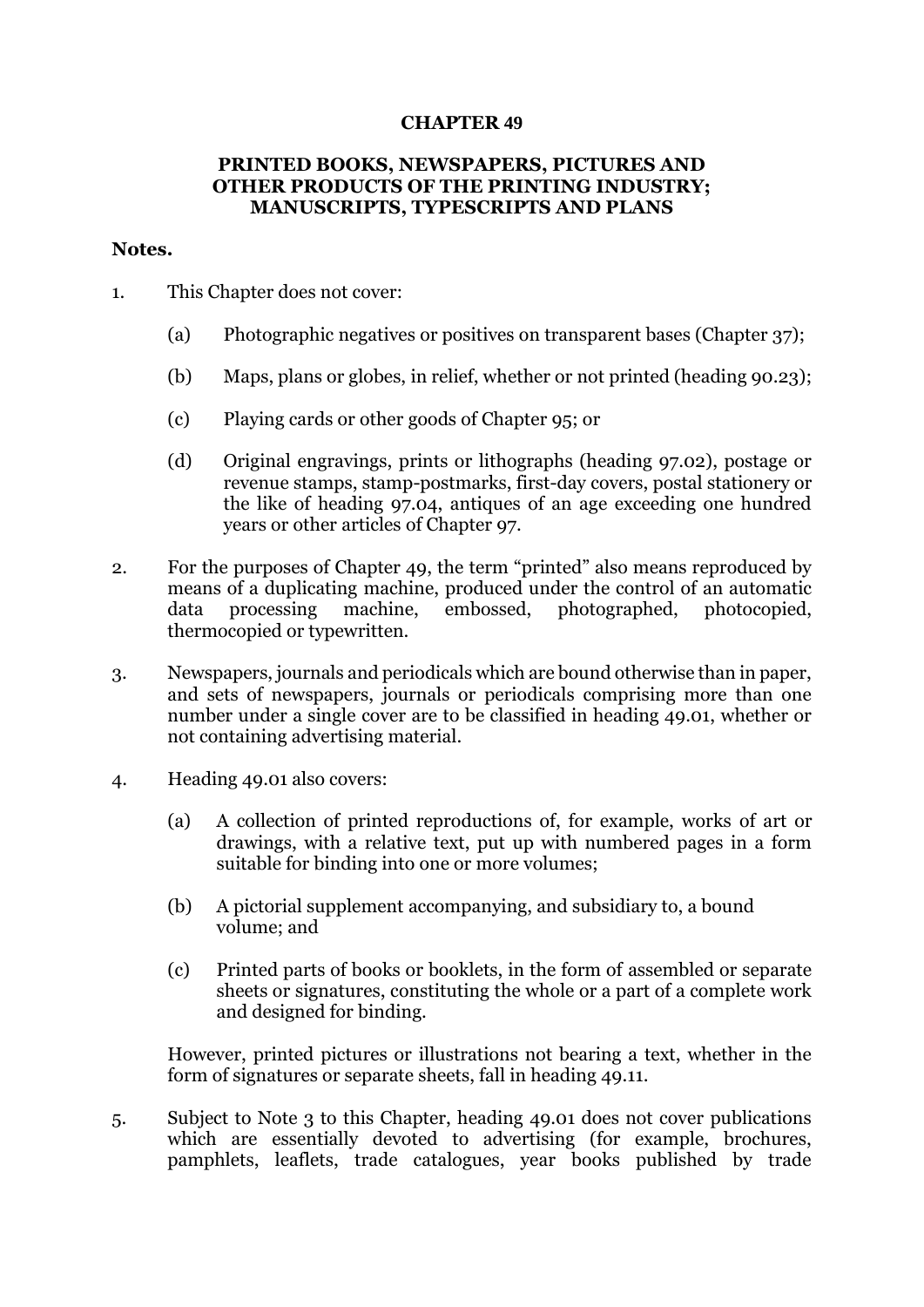## **CHAPTER 49**

## **PRINTED BOOKS, NEWSPAPERS, PICTURES AND OTHER PRODUCTS OF THE PRINTING INDUSTRY; MANUSCRIPTS, TYPESCRIPTS AND PLANS**

### **Notes.**

- 1. This Chapter does not cover:
	- (a) Photographic negatives or positives on transparent bases (Chapter 37);
	- (b) Maps, plans or globes, in relief, whether or not printed (heading 90.23);
	- (c) Playing cards or other goods of Chapter 95; or
	- (d) Original engravings, prints or lithographs (heading 97.02), postage or revenue stamps, stamp-postmarks, first-day covers, postal stationery or the like of heading 97.04, antiques of an age exceeding one hundred years or other articles of Chapter 97.
- 2. For the purposes of Chapter 49, the term "printed" also means reproduced by means of a duplicating machine, produced under the control of an automatic data processing machine, embossed, photographed, photocopied, thermocopied or typewritten.
- 3. Newspapers, journals and periodicals which are bound otherwise than in paper, and sets of newspapers, journals or periodicals comprising more than one number under a single cover are to be classified in heading 49.01, whether or not containing advertising material.
- 4. Heading 49.01 also covers:
	- (a) A collection of printed reproductions of, for example, works of art or drawings, with a relative text, put up with numbered pages in a form suitable for binding into one or more volumes;
	- (b) A pictorial supplement accompanying, and subsidiary to, a bound volume; and
	- (c) Printed parts of books or booklets, in the form of assembled or separate sheets or signatures, constituting the whole or a part of a complete work and designed for binding.

However, printed pictures or illustrations not bearing a text, whether in the form of signatures or separate sheets, fall in heading 49.11.

5. Subject to Note 3 to this Chapter, heading 49.01 does not cover publications which are essentially devoted to advertising (for example, brochures, pamphlets, leaflets, trade catalogues, year books published by trade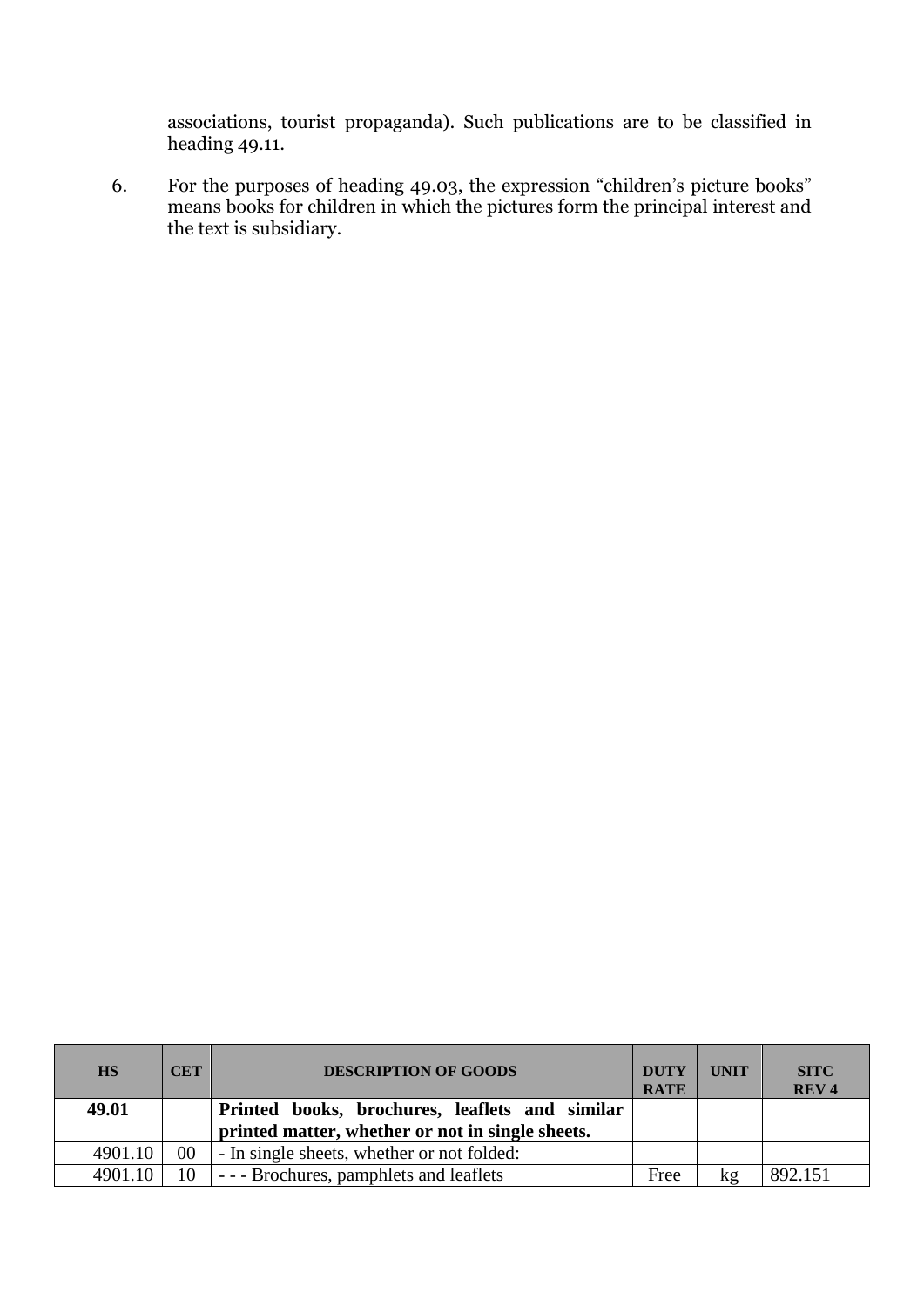associations, tourist propaganda). Such publications are to be classified in heading 49.11.

6. For the purposes of heading 49.03, the expression "children's picture books" means books for children in which the pictures form the principal interest and the text is subsidiary.

| <b>HS</b> | <b>CET</b> | <b>DESCRIPTION OF GOODS</b>                      | <b>DUTY</b><br><b>RATE</b> | <b>UNIT</b> | <b>SITC</b><br>REV <sub>4</sub> |
|-----------|------------|--------------------------------------------------|----------------------------|-------------|---------------------------------|
| 49.01     |            | Printed books, brochures, leaflets and similar   |                            |             |                                 |
|           |            | printed matter, whether or not in single sheets. |                            |             |                                 |
| 4901.10   | $00\,$     | - In single sheets, whether or not folded:       |                            |             |                                 |
| 4901.10   | 10         | --- Brochures, pamphlets and leaflets            | Free                       | kg          | 892.151                         |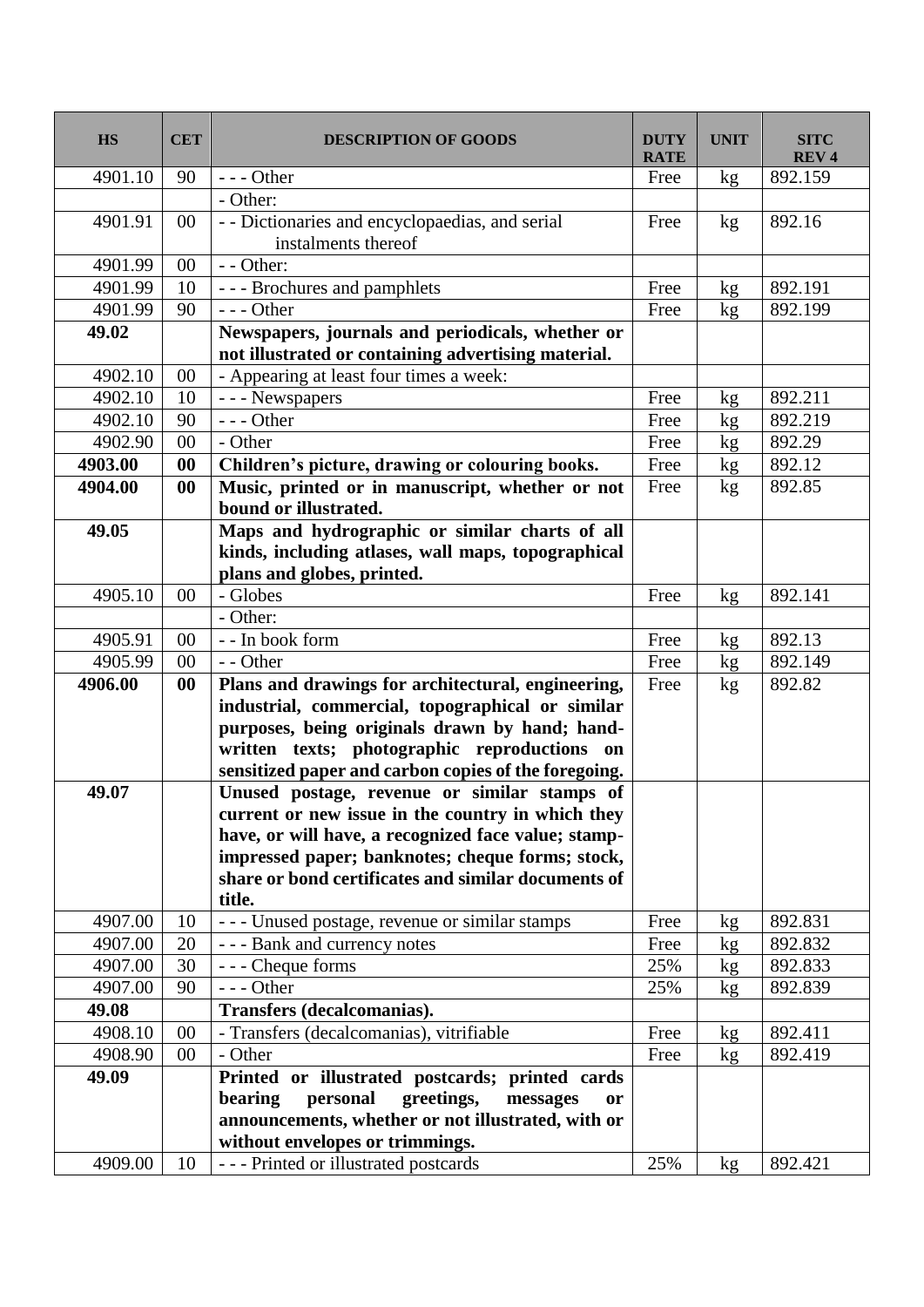| <b>HS</b> | <b>CET</b> | <b>DESCRIPTION OF GOODS</b>                                                                             | <b>DUTY</b><br><b>RATE</b> | <b>UNIT</b> | <b>SITC</b><br><b>REV4</b> |
|-----------|------------|---------------------------------------------------------------------------------------------------------|----------------------------|-------------|----------------------------|
| 4901.10   | 90         | $--$ Other                                                                                              | Free                       | kg          | 892.159                    |
|           |            | - Other:                                                                                                |                            |             |                            |
| 4901.91   | $00\,$     | - - Dictionaries and encyclopaedias, and serial<br>instalments thereof                                  | Free                       | kg          | 892.16                     |
| 4901.99   | $00\,$     | - - Other:                                                                                              |                            |             |                            |
| 4901.99   | 10         | --- Brochures and pamphlets                                                                             | Free                       | kg          | 892.191                    |
| 4901.99   | 90         | $--$ Other                                                                                              | Free                       | kg          | 892.199                    |
| 49.02     |            | Newspapers, journals and periodicals, whether or<br>not illustrated or containing advertising material. |                            |             |                            |
| 4902.10   | 00         | - Appearing at least four times a week:                                                                 |                            |             |                            |
| 4902.10   | 10         | - - - Newspapers                                                                                        | Free                       | kg          | 892.211                    |
| 4902.10   | 90         | --- Other                                                                                               | Free                       | kg          | 892.219                    |
| 4902.90   | 00         | - Other                                                                                                 | Free                       | kg          | 892.29                     |
| 4903.00   | 00         | Children's picture, drawing or colouring books.                                                         | Free                       | kg          | 892.12                     |
| 4904.00   | 00         | Music, printed or in manuscript, whether or not<br>bound or illustrated.                                | Free                       | kg          | 892.85                     |
| 49.05     |            | Maps and hydrographic or similar charts of all                                                          |                            |             |                            |
|           |            | kinds, including atlases, wall maps, topographical                                                      |                            |             |                            |
|           |            | plans and globes, printed.                                                                              |                            |             |                            |
| 4905.10   | 00         | - Globes                                                                                                | Free                       | kg          | 892.141                    |
|           |            | - Other:                                                                                                |                            |             |                            |
| 4905.91   | 00         | - - In book form                                                                                        | Free                       | kg          | 892.13                     |
| 4905.99   | 00         | - - Other                                                                                               | Free                       | kg          | 892.149                    |
| 4906.00   | 00         | Plans and drawings for architectural, engineering,                                                      | Free                       | kg          | 892.82                     |
|           |            | industrial, commercial, topographical or similar                                                        |                            |             |                            |
|           |            | purposes, being originals drawn by hand; hand-                                                          |                            |             |                            |
|           |            | written texts; photographic reproductions on<br>sensitized paper and carbon copies of the foregoing.    |                            |             |                            |
| 49.07     |            | Unused postage, revenue or similar stamps of                                                            |                            |             |                            |
|           |            | current or new issue in the country in which they                                                       |                            |             |                            |
|           |            | have, or will have, a recognized face value; stamp-                                                     |                            |             |                            |
|           |            | impressed paper; banknotes; cheque forms; stock,                                                        |                            |             |                            |
|           |            | share or bond certificates and similar documents of                                                     |                            |             |                            |
|           |            | title.                                                                                                  |                            |             |                            |
| 4907.00   | 10         | --- Unused postage, revenue or similar stamps                                                           | Free                       | kg          | 892.831                    |
| 4907.00   | 20         | - - - Bank and currency notes                                                                           | Free                       | kg          | 892.832                    |
| 4907.00   | 30         | --- Cheque forms                                                                                        | 25%                        | kg          | 892.833                    |
| 4907.00   | 90         | $--$ Other                                                                                              | 25%                        | kg          | 892.839                    |
| 49.08     |            | <b>Transfers (decalcomanias).</b>                                                                       |                            |             |                            |
| 4908.10   | 00         | - Transfers (decalcomanias), vitrifiable                                                                | Free                       | kg          | 892.411                    |
| 4908.90   | $00\,$     | - Other                                                                                                 | Free                       | kg          | 892.419                    |
| 49.09     |            | Printed or illustrated postcards; printed cards                                                         |                            |             |                            |
|           |            | personal<br>bearing<br>greetings,<br>messages<br><b>or</b>                                              |                            |             |                            |
|           |            | announcements, whether or not illustrated, with or                                                      |                            |             |                            |
|           |            | without envelopes or trimmings.                                                                         |                            |             |                            |
| 4909.00   | 10         | --- Printed or illustrated postcards                                                                    | 25%                        | kg          | 892.421                    |